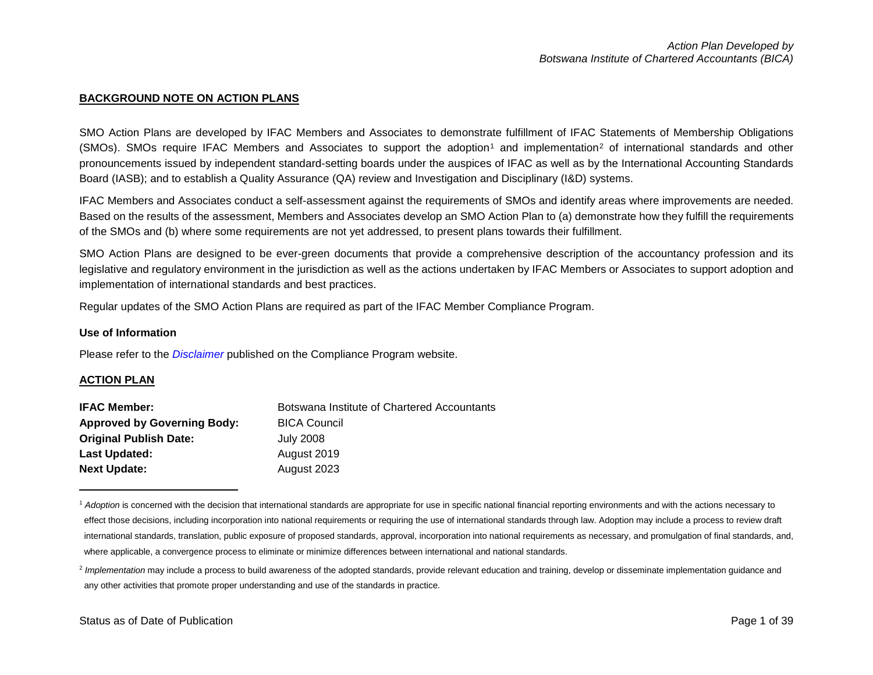#### <span id="page-0-1"></span><span id="page-0-0"></span>**BACKGROUND NOTE ON ACTION PLANS**

SMO Action Plans are developed by IFAC Members and Associates to demonstrate fulfillment of IFAC Statements of Membership Obligations  $(SMOs)$ . SMOs require IFAC Members and Associates to support the adoption<sup>[1](#page-0-0)</sup> and implementation<sup>[2](#page-0-1)</sup> of international standards and other pronouncements issued by independent standard-setting boards under the auspices of IFAC as well as by the International Accounting Standards Board (IASB); and to establish a Quality Assurance (QA) review and Investigation and Disciplinary (I&D) systems.

IFAC Members and Associates conduct a self-assessment against the requirements of SMOs and identify areas where improvements are needed. Based on the results of the assessment, Members and Associates develop an SMO Action Plan to (a) demonstrate how they fulfill the requirements of the SMOs and (b) where some requirements are not yet addressed, to present plans towards their fulfillment.

SMO Action Plans are designed to be ever-green documents that provide a comprehensive description of the accountancy profession and its legislative and regulatory environment in the jurisdiction as well as the actions undertaken by IFAC Members or Associates to support adoption and implementation of international standards and best practices.

Regular updates of the SMO Action Plans are required as part of the IFAC Member Compliance Program.

#### **Use of Information**

Please refer to the *[Disclaimer](http://www.ifac.org/about-ifac/membership/members/disclaimer)* published on the Compliance Program website.

#### **ACTION PLAN**

 $\overline{a}$ 

| <b>IFAC Member:</b>                | Botswana Institute of Chartered Accountants |
|------------------------------------|---------------------------------------------|
| <b>Approved by Governing Body:</b> | <b>BICA Council</b>                         |
| <b>Original Publish Date:</b>      | July 2008                                   |
| Last Updated:                      | August 2019                                 |
| <b>Next Update:</b>                | August 2023                                 |

<sup>&</sup>lt;sup>1</sup> Adoption is concerned with the decision that international standards are appropriate for use in specific national financial reporting environments and with the actions necessary to effect those decisions, including incorporation into national requirements or requiring the use of international standards through law. Adoption may include a process to review draft international standards, translation, public exposure of proposed standards, approval, incorporation into national requirements as necessary, and promulgation of final standards, and, where applicable, a convergence process to eliminate or minimize differences between international and national standards.

<sup>&</sup>lt;sup>2</sup> Implementation may include a process to build awareness of the adopted standards, provide relevant education and training, develop or disseminate implementation guidance and any other activities that promote proper understanding and use of the standards in practice.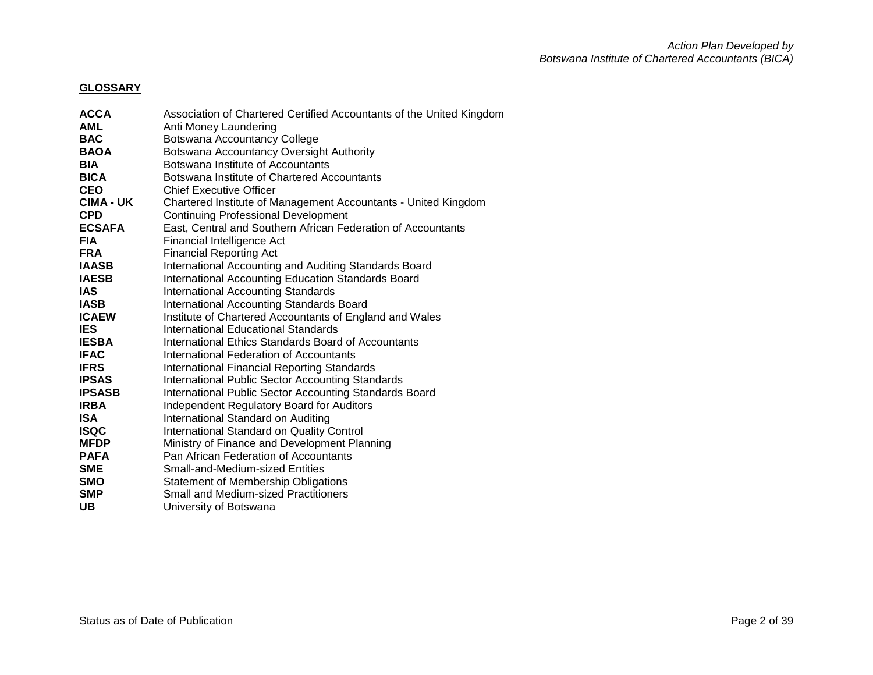# **GLOSSARY**

| <b>ACCA</b>      | Association of Chartered Certified Accountants of the United Kingdom |
|------------------|----------------------------------------------------------------------|
| <b>AML</b>       | Anti Money Laundering                                                |
| <b>BAC</b>       | Botswana Accountancy College                                         |
| <b>BAOA</b>      | Botswana Accountancy Oversight Authority                             |
| <b>BIA</b>       | Botswana Institute of Accountants                                    |
| <b>BICA</b>      | Botswana Institute of Chartered Accountants                          |
| <b>CEO</b>       | <b>Chief Executive Officer</b>                                       |
| <b>CIMA - UK</b> | Chartered Institute of Management Accountants - United Kingdom       |
| <b>CPD</b>       | <b>Continuing Professional Development</b>                           |
| <b>ECSAFA</b>    | East, Central and Southern African Federation of Accountants         |
| <b>FIA</b>       | Financial Intelligence Act                                           |
| <b>FRA</b>       | <b>Financial Reporting Act</b>                                       |
| <b>IAASB</b>     | International Accounting and Auditing Standards Board                |
| <b>IAESB</b>     | International Accounting Education Standards Board                   |
| <b>IAS</b>       | <b>International Accounting Standards</b>                            |
| <b>IASB</b>      | <b>International Accounting Standards Board</b>                      |
| <b>ICAEW</b>     | Institute of Chartered Accountants of England and Wales              |
| <b>IES</b>       | International Educational Standards                                  |
| <b>IESBA</b>     | International Ethics Standards Board of Accountants                  |
| <b>IFAC</b>      | International Federation of Accountants                              |
| <b>IFRS</b>      | <b>International Financial Reporting Standards</b>                   |
| <b>IPSAS</b>     | <b>International Public Sector Accounting Standards</b>              |
| <b>IPSASB</b>    | International Public Sector Accounting Standards Board               |
| <b>IRBA</b>      | <b>Independent Regulatory Board for Auditors</b>                     |
| <b>ISA</b>       | International Standard on Auditing                                   |
| <b>ISQC</b>      | International Standard on Quality Control                            |
| <b>MFDP</b>      | Ministry of Finance and Development Planning                         |
| <b>PAFA</b>      | Pan African Federation of Accountants                                |
| <b>SME</b>       | Small-and-Medium-sized Entities                                      |
| <b>SMO</b>       | <b>Statement of Membership Obligations</b>                           |
| <b>SMP</b>       | <b>Small and Medium-sized Practitioners</b>                          |
| <b>UB</b>        | University of Botswana                                               |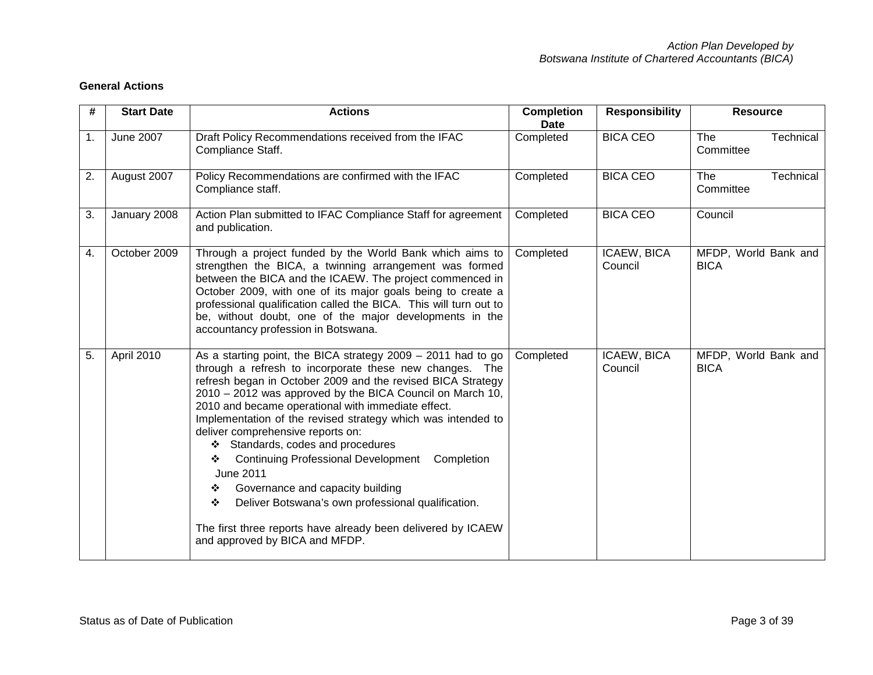| #              | <b>Start Date</b> | <b>Actions</b>                                                                                                                                                                                                                                                                                                                                                                                                                                                                                                                                                                                                                                                                                                                                      | <b>Completion</b><br><b>Date</b> | <b>Responsibility</b>  | <b>Resource</b>                     |
|----------------|-------------------|-----------------------------------------------------------------------------------------------------------------------------------------------------------------------------------------------------------------------------------------------------------------------------------------------------------------------------------------------------------------------------------------------------------------------------------------------------------------------------------------------------------------------------------------------------------------------------------------------------------------------------------------------------------------------------------------------------------------------------------------------------|----------------------------------|------------------------|-------------------------------------|
| $\mathbf{1}$ . | June 2007         | Draft Policy Recommendations received from the IFAC<br>Compliance Staff.                                                                                                                                                                                                                                                                                                                                                                                                                                                                                                                                                                                                                                                                            | Completed                        | <b>BICA CEO</b>        | The<br>Technical<br>Committee       |
| 2.             | August 2007       | Policy Recommendations are confirmed with the IFAC<br>Compliance staff.                                                                                                                                                                                                                                                                                                                                                                                                                                                                                                                                                                                                                                                                             | Completed                        | <b>BICA CEO</b>        | The<br>Technical<br>Committee       |
| 3.             | January 2008      | Action Plan submitted to IFAC Compliance Staff for agreement<br>and publication.                                                                                                                                                                                                                                                                                                                                                                                                                                                                                                                                                                                                                                                                    | Completed                        | <b>BICA CEO</b>        | Council                             |
| 4.             | October 2009      | Through a project funded by the World Bank which aims to<br>strengthen the BICA, a twinning arrangement was formed<br>between the BICA and the ICAEW. The project commenced in<br>October 2009, with one of its major goals being to create a<br>professional qualification called the BICA. This will turn out to<br>be, without doubt, one of the major developments in the<br>accountancy profession in Botswana.                                                                                                                                                                                                                                                                                                                                | Completed                        | ICAEW, BICA<br>Council | MFDP, World Bank and<br><b>BICA</b> |
| 5.             | April 2010        | As a starting point, the BICA strategy $2009 - 2011$ had to go<br>through a refresh to incorporate these new changes. The<br>refresh began in October 2009 and the revised BICA Strategy<br>2010 - 2012 was approved by the BICA Council on March 10,<br>2010 and became operational with immediate effect.<br>Implementation of the revised strategy which was intended to<br>deliver comprehensive reports on:<br>Standards, codes and procedures<br>❖<br><b>Continuing Professional Development</b><br>Completion<br>❖<br><b>June 2011</b><br>Governance and capacity building<br>❖<br>Deliver Botswana's own professional qualification.<br>❖<br>The first three reports have already been delivered by ICAEW<br>and approved by BICA and MFDP. | Completed                        | ICAEW, BICA<br>Council | MFDP, World Bank and<br><b>BICA</b> |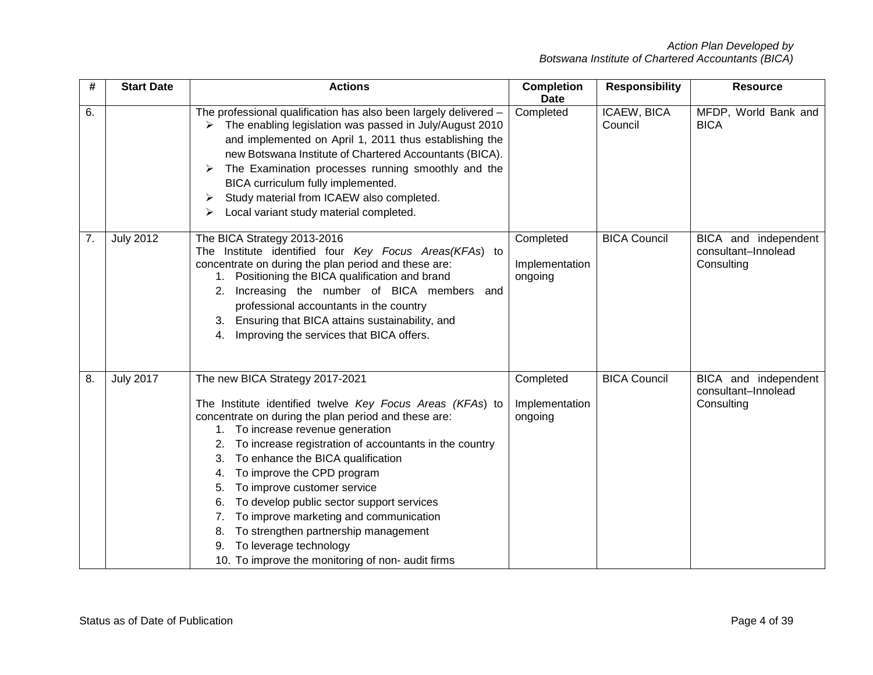| #  | <b>Start Date</b> | <b>Actions</b>                                                                                                                                                                                                                                                                                                                                                                                                                                                                                                                                                                                    | <b>Completion</b><br><b>Date</b>       | <b>Responsibility</b>  | <b>Resource</b>                                           |
|----|-------------------|---------------------------------------------------------------------------------------------------------------------------------------------------------------------------------------------------------------------------------------------------------------------------------------------------------------------------------------------------------------------------------------------------------------------------------------------------------------------------------------------------------------------------------------------------------------------------------------------------|----------------------------------------|------------------------|-----------------------------------------------------------|
| 6. |                   | The professional qualification has also been largely delivered -<br>The enabling legislation was passed in July/August 2010<br>➤<br>and implemented on April 1, 2011 thus establishing the<br>new Botswana Institute of Chartered Accountants (BICA).<br>The Examination processes running smoothly and the<br>➤<br>BICA curriculum fully implemented.<br>Study material from ICAEW also completed.<br>➤<br>Local variant study material completed.<br>⋗                                                                                                                                          | Completed                              | ICAEW, BICA<br>Council | MFDP, World Bank and<br><b>BICA</b>                       |
| 7. | <b>July 2012</b>  | The BICA Strategy 2013-2016<br>The Institute identified four Key Focus Areas(KFAs) to<br>concentrate on during the plan period and these are:<br>1. Positioning the BICA qualification and brand<br>Increasing the number of BICA members and<br>2.<br>professional accountants in the country<br>Ensuring that BICA attains sustainability, and<br>3.<br>Improving the services that BICA offers.<br>4.                                                                                                                                                                                          | Completed<br>Implementation<br>ongoing | <b>BICA Council</b>    | BICA and independent<br>consultant-Innolead<br>Consulting |
| 8. | <b>July 2017</b>  | The new BICA Strategy 2017-2021<br>The Institute identified twelve Key Focus Areas (KFAs) to<br>concentrate on during the plan period and these are:<br>1. To increase revenue generation<br>To increase registration of accountants in the country<br>To enhance the BICA qualification<br>To improve the CPD program<br>4.<br>To improve customer service<br>5.<br>To develop public sector support services<br>6.<br>To improve marketing and communication<br>To strengthen partnership management<br>8.<br>To leverage technology<br>9.<br>10. To improve the monitoring of non- audit firms | Completed<br>Implementation<br>ongoing | <b>BICA Council</b>    | BICA and independent<br>consultant-Innolead<br>Consulting |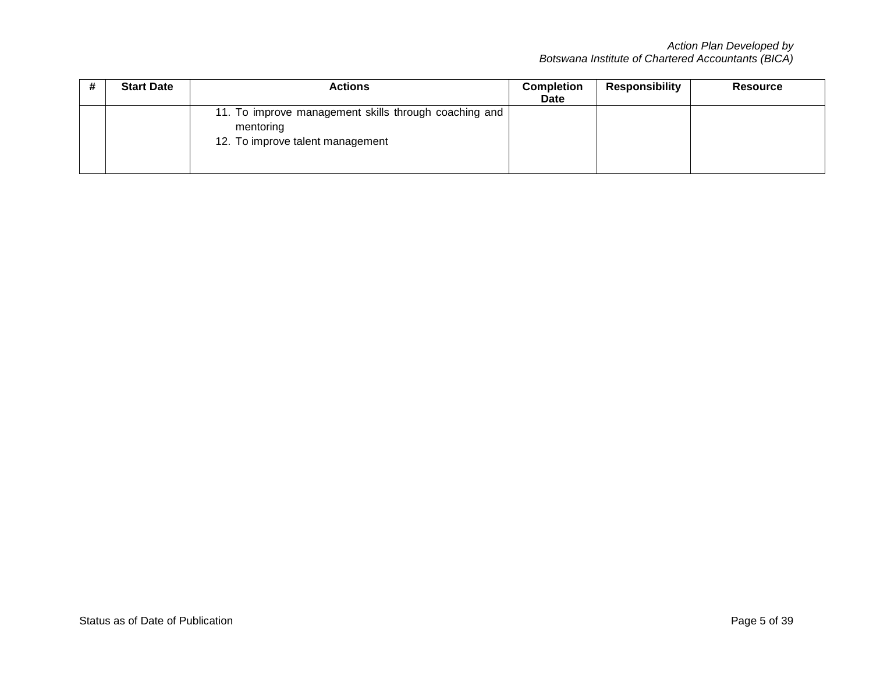|  | <b>Start Date</b> | Actions                                                                                                | <b>Completion</b><br>Date | <b>Responsibility</b> | <b>Resource</b> |
|--|-------------------|--------------------------------------------------------------------------------------------------------|---------------------------|-----------------------|-----------------|
|  |                   | 11. To improve management skills through coaching and<br>mentoring<br>12. To improve talent management |                           |                       |                 |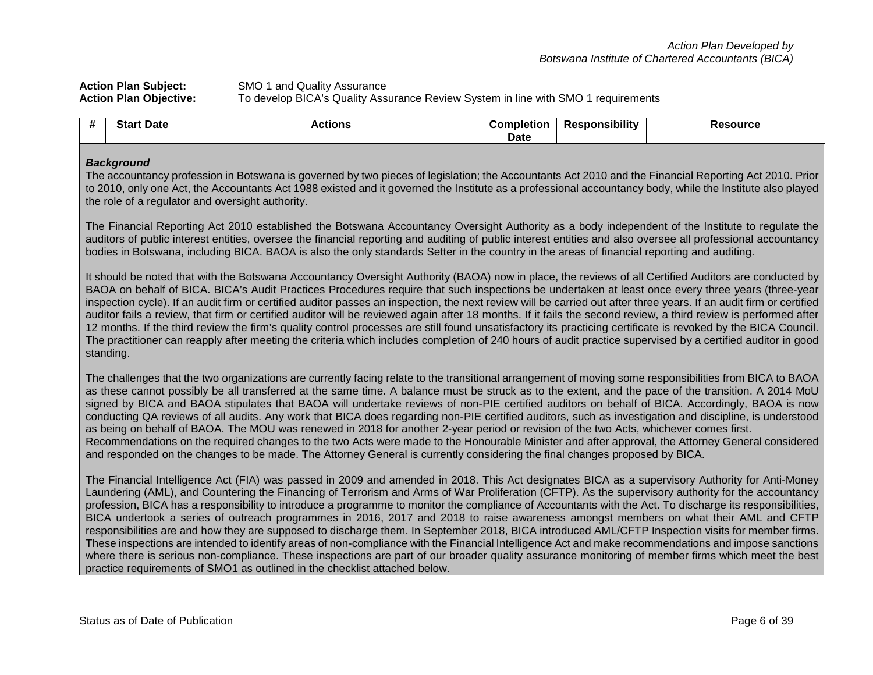Action Plan Subject:<br> **Action Plan Objective:** To develop BICA's Quality Ass **Action Plan Objective:** To develop BICA's Quality Assurance Review System in line with SMO 1 requirements

| Star<br>Date | <b>Actions</b> | noletior<br>.nr | .<br>sponsibilitv<br>Ke. | <b>Resource</b> |
|--------------|----------------|-----------------|--------------------------|-----------------|
|              |                | . .<br>υαιτ     |                          |                 |

#### *Background*

The accountancy profession in Botswana is governed by two pieces of legislation; the Accountants Act 2010 and the Financial Reporting Act 2010. Prior to 2010, only one Act, the Accountants Act 1988 existed and it governed the Institute as a professional accountancy body, while the Institute also played the role of a regulator and oversight authority.

The Financial Reporting Act 2010 established the Botswana Accountancy Oversight Authority as a body independent of the Institute to regulate the auditors of public interest entities, oversee the financial reporting and auditing of public interest entities and also oversee all professional accountancy bodies in Botswana, including BICA. BAOA is also the only standards Setter in the country in the areas of financial reporting and auditing.

It should be noted that with the Botswana Accountancy Oversight Authority (BAOA) now in place, the reviews of all Certified Auditors are conducted by BAOA on behalf of BICA. BICA's Audit Practices Procedures require that such inspections be undertaken at least once every three years (three-year inspection cycle). If an audit firm or certified auditor passes an inspection, the next review will be carried out after three years. If an audit firm or certified auditor fails a review, that firm or certified auditor will be reviewed again after 18 months. If it fails the second review, a third review is performed after 12 months. If the third review the firm's quality control processes are still found unsatisfactory its practicing certificate is revoked by the BICA Council. The practitioner can reapply after meeting the criteria which includes completion of 240 hours of audit practice supervised by a certified auditor in good standing.

The challenges that the two organizations are currently facing relate to the transitional arrangement of moving some responsibilities from BICA to BAOA as these cannot possibly be all transferred at the same time. A balance must be struck as to the extent, and the pace of the transition. A 2014 MoU signed by BICA and BAOA stipulates that BAOA will undertake reviews of non-PIE certified auditors on behalf of BICA. Accordingly, BAOA is now conducting QA reviews of all audits. Any work that BICA does regarding non-PIE certified auditors, such as investigation and discipline, is understood as being on behalf of BAOA. The MOU was renewed in 2018 for another 2-year period or revision of the two Acts, whichever comes first. Recommendations on the required changes to the two Acts were made to the Honourable Minister and after approval, the Attorney General considered and responded on the changes to be made. The Attorney General is currently considering the final changes proposed by BICA.

The Financial Intelligence Act (FIA) was passed in 2009 and amended in 2018. This Act designates BICA as a supervisory Authority for Anti-Money Laundering (AML), and Countering the Financing of Terrorism and Arms of War Proliferation (CFTP). As the supervisory authority for the accountancy profession, BICA has a responsibility to introduce a programme to monitor the compliance of Accountants with the Act. To discharge its responsibilities, BICA undertook a series of outreach programmes in 2016, 2017 and 2018 to raise awareness amongst members on what their AML and CFTP responsibilities are and how they are supposed to discharge them. In September 2018, BICA introduced AML/CFTP Inspection visits for member firms. These inspections are intended to identify areas of non-compliance with the Financial Intelligence Act and make recommendations and impose sanctions where there is serious non-compliance. These inspections are part of our broader quality assurance monitoring of member firms which meet the best practice requirements of SMO1 as outlined in the checklist attached below.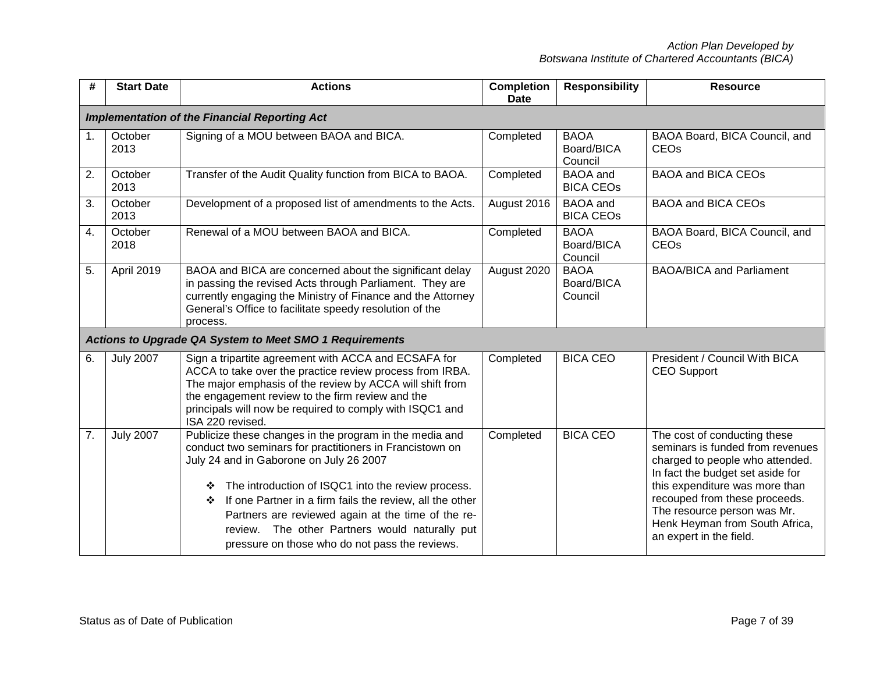| #  | <b>Start Date</b> | <b>Actions</b>                                                                                                                                                                                                                                                                                                                                                                                                                                       | <b>Completion</b><br><b>Date</b> | <b>Responsibility</b>                | <b>Resource</b>                                                                                                                                                                                                                                                                                        |
|----|-------------------|------------------------------------------------------------------------------------------------------------------------------------------------------------------------------------------------------------------------------------------------------------------------------------------------------------------------------------------------------------------------------------------------------------------------------------------------------|----------------------------------|--------------------------------------|--------------------------------------------------------------------------------------------------------------------------------------------------------------------------------------------------------------------------------------------------------------------------------------------------------|
|    |                   | <b>Implementation of the Financial Reporting Act</b>                                                                                                                                                                                                                                                                                                                                                                                                 |                                  |                                      |                                                                                                                                                                                                                                                                                                        |
| 1. | October<br>2013   | Signing of a MOU between BAOA and BICA.                                                                                                                                                                                                                                                                                                                                                                                                              | Completed                        | <b>BAOA</b><br>Board/BICA<br>Council | BAOA Board, BICA Council, and<br>CEO <sub>s</sub>                                                                                                                                                                                                                                                      |
| 2. | October<br>2013   | Transfer of the Audit Quality function from BICA to BAOA.                                                                                                                                                                                                                                                                                                                                                                                            | Completed                        | <b>BAOA</b> and<br><b>BICA CEOS</b>  | <b>BAOA and BICA CEOs</b>                                                                                                                                                                                                                                                                              |
| 3. | October<br>2013   | Development of a proposed list of amendments to the Acts.                                                                                                                                                                                                                                                                                                                                                                                            | August 2016                      | <b>BAOA</b> and<br><b>BICA CEOS</b>  | <b>BAOA and BICA CEOs</b>                                                                                                                                                                                                                                                                              |
| 4. | October<br>2018   | Renewal of a MOU between BAOA and BICA.                                                                                                                                                                                                                                                                                                                                                                                                              | Completed                        | <b>BAOA</b><br>Board/BICA<br>Council | BAOA Board, BICA Council, and<br>CEO <sub>s</sub>                                                                                                                                                                                                                                                      |
| 5. | April 2019        | BAOA and BICA are concerned about the significant delay<br>in passing the revised Acts through Parliament. They are<br>currently engaging the Ministry of Finance and the Attorney<br>General's Office to facilitate speedy resolution of the<br>process.                                                                                                                                                                                            | August 2020                      | <b>BAOA</b><br>Board/BICA<br>Council | <b>BAOA/BICA and Parliament</b>                                                                                                                                                                                                                                                                        |
|    |                   | <b>Actions to Upgrade QA System to Meet SMO 1 Requirements</b>                                                                                                                                                                                                                                                                                                                                                                                       |                                  |                                      |                                                                                                                                                                                                                                                                                                        |
| 6. | <b>July 2007</b>  | Sign a tripartite agreement with ACCA and ECSAFA for<br>ACCA to take over the practice review process from IRBA.<br>The major emphasis of the review by ACCA will shift from<br>the engagement review to the firm review and the<br>principals will now be required to comply with ISQC1 and<br>ISA 220 revised.                                                                                                                                     | Completed                        | <b>BICA CEO</b>                      | President / Council With BICA<br><b>CEO Support</b>                                                                                                                                                                                                                                                    |
| 7. | <b>July 2007</b>  | Publicize these changes in the program in the media and<br>conduct two seminars for practitioners in Francistown on<br>July 24 and in Gaborone on July 26 2007<br>The introduction of ISQC1 into the review process.<br>❖<br>If one Partner in a firm fails the review, all the other<br>❖<br>Partners are reviewed again at the time of the re-<br>review. The other Partners would naturally put<br>pressure on those who do not pass the reviews. | Completed                        | <b>BICA CEO</b>                      | The cost of conducting these<br>seminars is funded from revenues<br>charged to people who attended.<br>In fact the budget set aside for<br>this expenditure was more than<br>recouped from these proceeds.<br>The resource person was Mr.<br>Henk Heyman from South Africa,<br>an expert in the field. |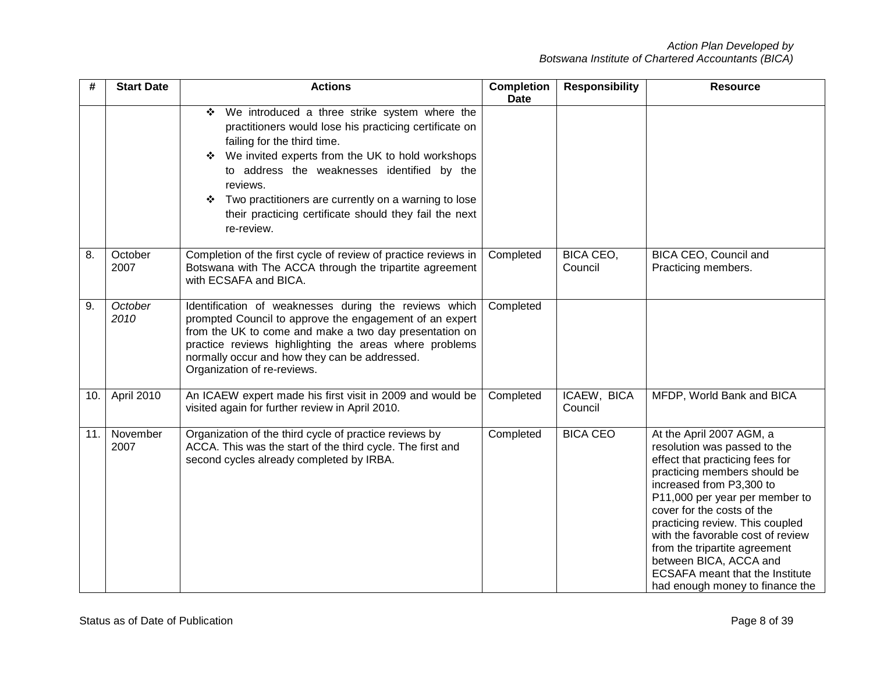| #   | <b>Start Date</b> | <b>Actions</b>                                                                                                                                                                                                                                                                                                                                                                                       | <b>Completion</b><br><b>Date</b> | <b>Responsibility</b>  | <b>Resource</b>                                                                                                                                                                                                                                                                                                                                                                                                                         |
|-----|-------------------|------------------------------------------------------------------------------------------------------------------------------------------------------------------------------------------------------------------------------------------------------------------------------------------------------------------------------------------------------------------------------------------------------|----------------------------------|------------------------|-----------------------------------------------------------------------------------------------------------------------------------------------------------------------------------------------------------------------------------------------------------------------------------------------------------------------------------------------------------------------------------------------------------------------------------------|
|     |                   | We introduced a three strike system where the<br>❖<br>practitioners would lose his practicing certificate on<br>failing for the third time.<br>We invited experts from the UK to hold workshops<br>❖<br>to address the weaknesses identified by the<br>reviews.<br>Two practitioners are currently on a warning to lose<br>❖<br>their practicing certificate should they fail the next<br>re-review. |                                  |                        |                                                                                                                                                                                                                                                                                                                                                                                                                                         |
| 8.  | October<br>2007   | Completion of the first cycle of review of practice reviews in<br>Botswana with The ACCA through the tripartite agreement<br>with ECSAFA and BICA.                                                                                                                                                                                                                                                   | Completed                        | BICA CEO,<br>Council   | BICA CEO, Council and<br>Practicing members.                                                                                                                                                                                                                                                                                                                                                                                            |
| 9.  | October<br>2010   | Identification of weaknesses during the reviews which<br>prompted Council to approve the engagement of an expert<br>from the UK to come and make a two day presentation on<br>practice reviews highlighting the areas where problems<br>normally occur and how they can be addressed.<br>Organization of re-reviews.                                                                                 | Completed                        |                        |                                                                                                                                                                                                                                                                                                                                                                                                                                         |
| 10. | April 2010        | An ICAEW expert made his first visit in 2009 and would be<br>visited again for further review in April 2010.                                                                                                                                                                                                                                                                                         | Completed                        | ICAEW, BICA<br>Council | MFDP, World Bank and BICA                                                                                                                                                                                                                                                                                                                                                                                                               |
| 11. | November<br>2007  | Organization of the third cycle of practice reviews by<br>ACCA. This was the start of the third cycle. The first and<br>second cycles already completed by IRBA.                                                                                                                                                                                                                                     | Completed                        | <b>BICA CEO</b>        | At the April 2007 AGM, a<br>resolution was passed to the<br>effect that practicing fees for<br>practicing members should be<br>increased from P3,300 to<br>P11,000 per year per member to<br>cover for the costs of the<br>practicing review. This coupled<br>with the favorable cost of review<br>from the tripartite agreement<br>between BICA, ACCA and<br><b>ECSAFA</b> meant that the Institute<br>had enough money to finance the |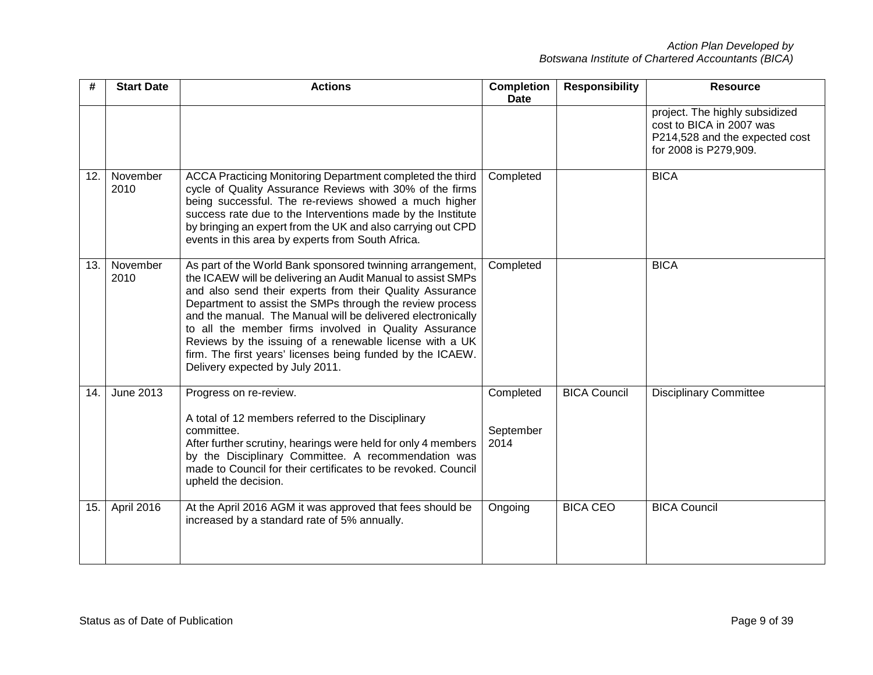| #   | <b>Start Date</b> | <b>Actions</b>                                                                                                                                                                                                                                                                                                                                                                                                                                                                                                                       | <b>Completion</b><br><b>Date</b> | <b>Responsibility</b> | <b>Resource</b>                                                                                                       |
|-----|-------------------|--------------------------------------------------------------------------------------------------------------------------------------------------------------------------------------------------------------------------------------------------------------------------------------------------------------------------------------------------------------------------------------------------------------------------------------------------------------------------------------------------------------------------------------|----------------------------------|-----------------------|-----------------------------------------------------------------------------------------------------------------------|
|     |                   |                                                                                                                                                                                                                                                                                                                                                                                                                                                                                                                                      |                                  |                       | project. The highly subsidized<br>cost to BICA in 2007 was<br>P214,528 and the expected cost<br>for 2008 is P279,909. |
| 12. | November<br>2010  | ACCA Practicing Monitoring Department completed the third<br>cycle of Quality Assurance Reviews with 30% of the firms<br>being successful. The re-reviews showed a much higher<br>success rate due to the Interventions made by the Institute<br>by bringing an expert from the UK and also carrying out CPD<br>events in this area by experts from South Africa.                                                                                                                                                                    | Completed                        |                       | <b>BICA</b>                                                                                                           |
| 13. | November<br>2010  | As part of the World Bank sponsored twinning arrangement,<br>the ICAEW will be delivering an Audit Manual to assist SMPs<br>and also send their experts from their Quality Assurance<br>Department to assist the SMPs through the review process<br>and the manual. The Manual will be delivered electronically<br>to all the member firms involved in Quality Assurance<br>Reviews by the issuing of a renewable license with a UK<br>firm. The first years' licenses being funded by the ICAEW.<br>Delivery expected by July 2011. | Completed                        |                       | <b>BICA</b>                                                                                                           |
| 14. | June 2013         | Progress on re-review.<br>A total of 12 members referred to the Disciplinary<br>committee.<br>After further scrutiny, hearings were held for only 4 members<br>by the Disciplinary Committee. A recommendation was<br>made to Council for their certificates to be revoked. Council<br>upheld the decision.                                                                                                                                                                                                                          | Completed<br>September<br>2014   | <b>BICA Council</b>   | <b>Disciplinary Committee</b>                                                                                         |
| 15. | April 2016        | At the April 2016 AGM it was approved that fees should be<br>increased by a standard rate of 5% annually.                                                                                                                                                                                                                                                                                                                                                                                                                            | Ongoing                          | <b>BICA CEO</b>       | <b>BICA Council</b>                                                                                                   |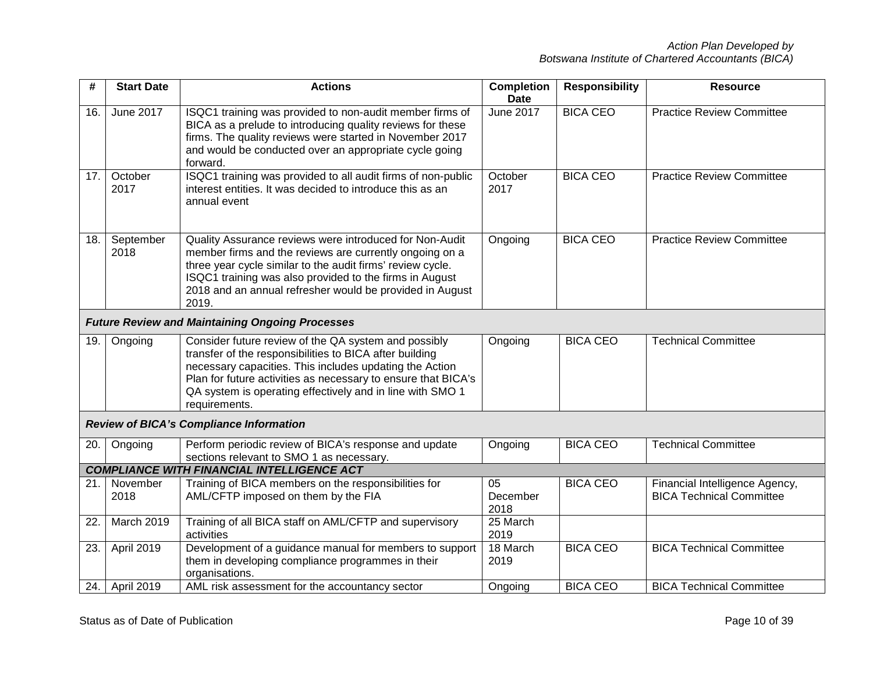| #     | <b>Start Date</b> | <b>Actions</b>                                                                                                                                                                                                                                                                                                            | <b>Completion</b><br><b>Date</b> | <b>Responsibility</b> | <b>Resource</b>                                                   |
|-------|-------------------|---------------------------------------------------------------------------------------------------------------------------------------------------------------------------------------------------------------------------------------------------------------------------------------------------------------------------|----------------------------------|-----------------------|-------------------------------------------------------------------|
| 16.   | <b>June 2017</b>  | ISQC1 training was provided to non-audit member firms of<br>BICA as a prelude to introducing quality reviews for these<br>firms. The quality reviews were started in November 2017<br>and would be conducted over an appropriate cycle going<br>forward.                                                                  | <b>June 2017</b>                 | <b>BICA CEO</b>       | <b>Practice Review Committee</b>                                  |
| 17.   | October<br>2017   | ISQC1 training was provided to all audit firms of non-public<br>interest entities. It was decided to introduce this as an<br>annual event                                                                                                                                                                                 | October<br>2017                  | <b>BICA CEO</b>       | <b>Practice Review Committee</b>                                  |
| 18.   | September<br>2018 | Quality Assurance reviews were introduced for Non-Audit<br>member firms and the reviews are currently ongoing on a<br>three year cycle similar to the audit firms' review cycle.<br>ISQC1 training was also provided to the firms in August<br>2018 and an annual refresher would be provided in August<br>2019.          | Ongoing                          | <b>BICA CEO</b>       | <b>Practice Review Committee</b>                                  |
|       |                   | <b>Future Review and Maintaining Ongoing Processes</b>                                                                                                                                                                                                                                                                    |                                  |                       |                                                                   |
| 19.   | Ongoing           | Consider future review of the QA system and possibly<br>transfer of the responsibilities to BICA after building<br>necessary capacities. This includes updating the Action<br>Plan for future activities as necessary to ensure that BICA's<br>QA system is operating effectively and in line with SMO 1<br>requirements. | Ongoing                          | <b>BICA CEO</b>       | <b>Technical Committee</b>                                        |
|       |                   | <b>Review of BICA's Compliance Information</b>                                                                                                                                                                                                                                                                            |                                  |                       |                                                                   |
| 20.   | Ongoing           | Perform periodic review of BICA's response and update<br>sections relevant to SMO 1 as necessary.                                                                                                                                                                                                                         | Ongoing                          | <b>BICA CEO</b>       | <b>Technical Committee</b>                                        |
|       |                   | <b>COMPLIANCE WITH FINANCIAL INTELLIGENCE ACT</b>                                                                                                                                                                                                                                                                         |                                  |                       |                                                                   |
| 21. l | November<br>2018  | Training of BICA members on the responsibilities for<br>AML/CFTP imposed on them by the FIA                                                                                                                                                                                                                               | 05<br>December<br>2018           | <b>BICA CEO</b>       | Financial Intelligence Agency,<br><b>BICA Technical Committee</b> |
| 22.   | March 2019        | Training of all BICA staff on AML/CFTP and supervisory<br>activities                                                                                                                                                                                                                                                      | 25 March<br>2019                 |                       |                                                                   |
| 23.   | April 2019        | Development of a guidance manual for members to support<br>them in developing compliance programmes in their<br>organisations.                                                                                                                                                                                            | 18 March<br>2019                 | <b>BICA CEO</b>       | <b>BICA Technical Committee</b>                                   |
| 24.   | April 2019        | AML risk assessment for the accountancy sector                                                                                                                                                                                                                                                                            | Ongoing                          | <b>BICA CEO</b>       | <b>BICA Technical Committee</b>                                   |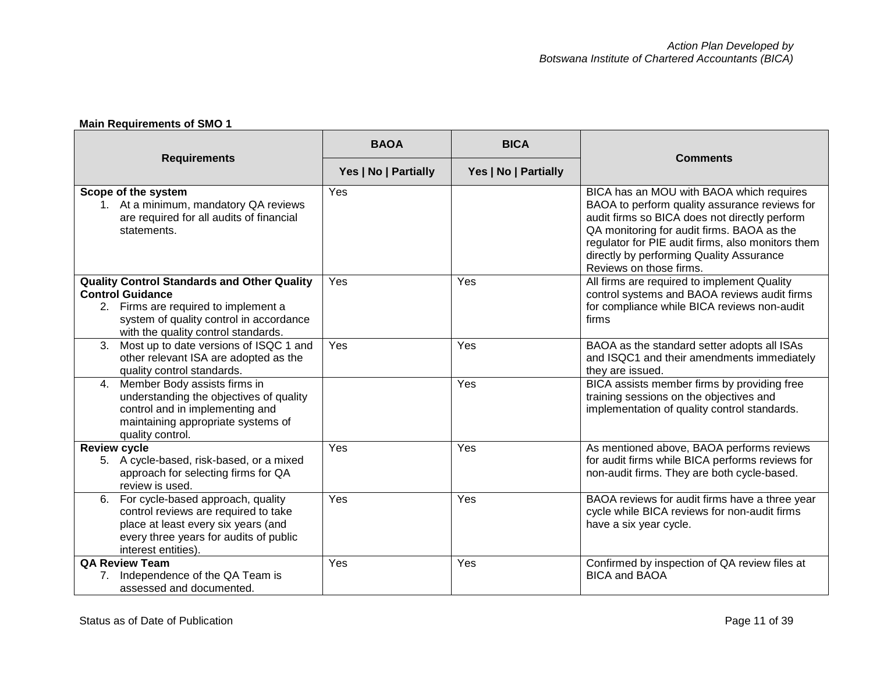# **Main Requirements of SMO 1**

| <b>Requirements</b>                                                                                                                                                                                     | <b>BAOA</b>          | <b>BICA</b>          | <b>Comments</b>                                                                                                                                                                                                                                                                                                      |
|---------------------------------------------------------------------------------------------------------------------------------------------------------------------------------------------------------|----------------------|----------------------|----------------------------------------------------------------------------------------------------------------------------------------------------------------------------------------------------------------------------------------------------------------------------------------------------------------------|
|                                                                                                                                                                                                         | Yes   No   Partially | Yes   No   Partially |                                                                                                                                                                                                                                                                                                                      |
| Scope of the system<br>1. At a minimum, mandatory QA reviews<br>are required for all audits of financial<br>statements.                                                                                 | Yes                  |                      | BICA has an MOU with BAOA which requires<br>BAOA to perform quality assurance reviews for<br>audit firms so BICA does not directly perform<br>QA monitoring for audit firms. BAOA as the<br>regulator for PIE audit firms, also monitors them<br>directly by performing Quality Assurance<br>Reviews on those firms. |
| <b>Quality Control Standards and Other Quality</b><br><b>Control Guidance</b><br>2. Firms are required to implement a<br>system of quality control in accordance<br>with the quality control standards. | Yes                  | Yes                  | All firms are required to implement Quality<br>control systems and BAOA reviews audit firms<br>for compliance while BICA reviews non-audit<br>firms                                                                                                                                                                  |
| Most up to date versions of ISQC 1 and<br>3.<br>other relevant ISA are adopted as the<br>quality control standards.                                                                                     | Yes                  | Yes                  | BAOA as the standard setter adopts all ISAs<br>and ISQC1 and their amendments immediately<br>they are issued.                                                                                                                                                                                                        |
| Member Body assists firms in<br>4.<br>understanding the objectives of quality<br>control and in implementing and<br>maintaining appropriate systems of<br>quality control.                              |                      | Yes                  | BICA assists member firms by providing free<br>training sessions on the objectives and<br>implementation of quality control standards.                                                                                                                                                                               |
| <b>Review cycle</b><br>5. A cycle-based, risk-based, or a mixed<br>approach for selecting firms for QA<br>review is used.                                                                               | Yes                  | Yes                  | As mentioned above, BAOA performs reviews<br>for audit firms while BICA performs reviews for<br>non-audit firms. They are both cycle-based.                                                                                                                                                                          |
| For cycle-based approach, quality<br>6.<br>control reviews are required to take<br>place at least every six years (and<br>every three years for audits of public<br>interest entities).                 | Yes                  | Yes                  | BAOA reviews for audit firms have a three year<br>cycle while BICA reviews for non-audit firms<br>have a six year cycle.                                                                                                                                                                                             |
| <b>QA Review Team</b><br>7. Independence of the QA Team is<br>assessed and documented.                                                                                                                  | Yes                  | Yes                  | Confirmed by inspection of QA review files at<br><b>BICA and BAOA</b>                                                                                                                                                                                                                                                |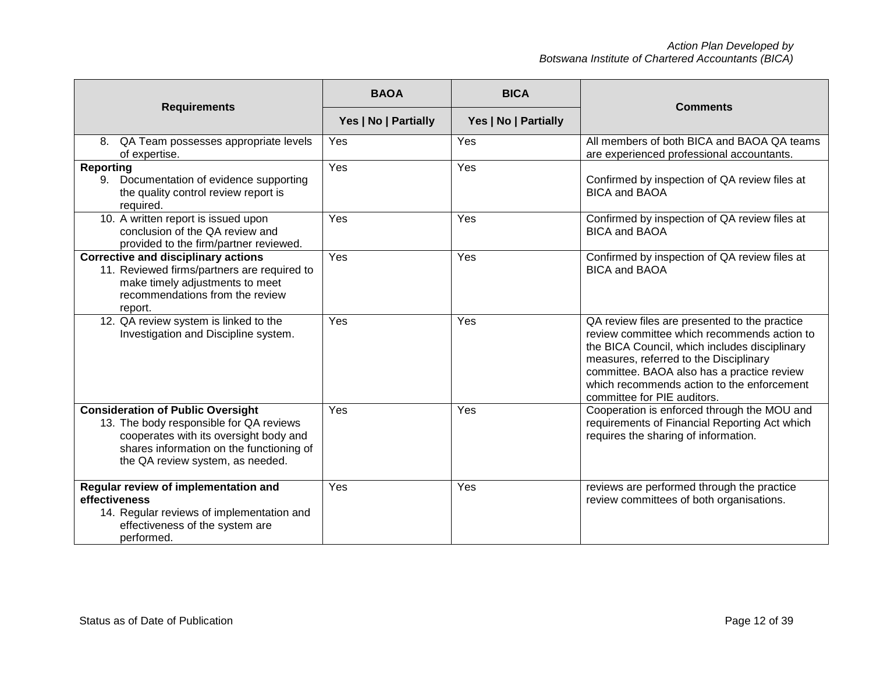|                                                                                                                                                                                                               | <b>BAOA</b>                                  | <b>BICA</b> | <b>Comments</b>                                                                                                                                                                                                                                                                                                    |
|---------------------------------------------------------------------------------------------------------------------------------------------------------------------------------------------------------------|----------------------------------------------|-------------|--------------------------------------------------------------------------------------------------------------------------------------------------------------------------------------------------------------------------------------------------------------------------------------------------------------------|
| <b>Requirements</b>                                                                                                                                                                                           | Yes   No   Partially<br>Yes   No   Partially |             |                                                                                                                                                                                                                                                                                                                    |
| QA Team possesses appropriate levels<br>8.<br>of expertise.                                                                                                                                                   | Yes                                          | Yes         | All members of both BICA and BAOA QA teams<br>are experienced professional accountants.                                                                                                                                                                                                                            |
| <b>Reporting</b><br>Documentation of evidence supporting<br>9.<br>the quality control review report is<br>required.                                                                                           | Yes                                          | Yes         | Confirmed by inspection of QA review files at<br><b>BICA and BAOA</b>                                                                                                                                                                                                                                              |
| 10. A written report is issued upon<br>conclusion of the QA review and<br>provided to the firm/partner reviewed.                                                                                              | Yes                                          | Yes         | Confirmed by inspection of QA review files at<br><b>BICA and BAOA</b>                                                                                                                                                                                                                                              |
| <b>Corrective and disciplinary actions</b><br>11. Reviewed firms/partners are required to<br>make timely adjustments to meet<br>recommendations from the review<br>report.                                    | Yes                                          | Yes         | Confirmed by inspection of QA review files at<br><b>BICA and BAOA</b>                                                                                                                                                                                                                                              |
| 12. QA review system is linked to the<br>Investigation and Discipline system.                                                                                                                                 | Yes                                          | Yes         | QA review files are presented to the practice<br>review committee which recommends action to<br>the BICA Council, which includes disciplinary<br>measures, referred to the Disciplinary<br>committee. BAOA also has a practice review<br>which recommends action to the enforcement<br>committee for PIE auditors. |
| <b>Consideration of Public Oversight</b><br>13. The body responsible for QA reviews<br>cooperates with its oversight body and<br>shares information on the functioning of<br>the QA review system, as needed. | Yes                                          | Yes         | Cooperation is enforced through the MOU and<br>requirements of Financial Reporting Act which<br>requires the sharing of information.                                                                                                                                                                               |
| Regular review of implementation and<br>effectiveness<br>14. Regular reviews of implementation and<br>effectiveness of the system are<br>performed.                                                           | Yes                                          | Yes         | reviews are performed through the practice<br>review committees of both organisations.                                                                                                                                                                                                                             |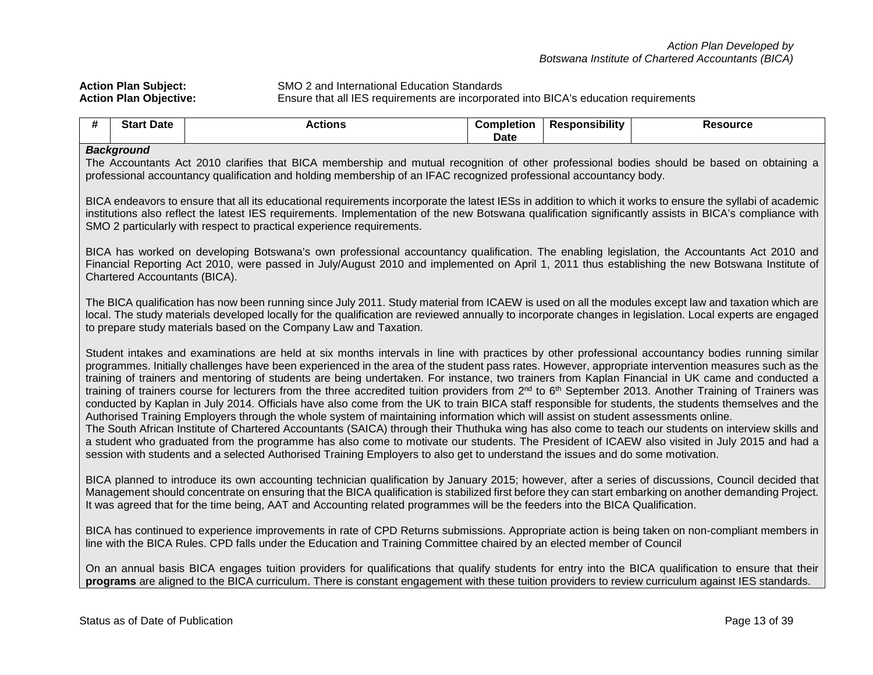**Action Plan Subject:** SMO 2 and International Education Standards<br> **Action Plan Objective:** Ensure that all IES requirements are incorpora **Action Plan Objective:** Ensure that all IES requirements are incorporated into BICA's education requirements

| . IT | Start<br>Date | Actions | Completion<br>Date | <b>Sponsibility</b><br>ке | Resource |  |  |
|------|---------------|---------|--------------------|---------------------------|----------|--|--|
|      | $D = -1$      |         |                    |                           |          |  |  |

#### *Background*

The Accountants Act 2010 clarifies that BICA membership and mutual recognition of other professional bodies should be based on obtaining a professional accountancy qualification and holding membership of an IFAC recognized professional accountancy body.

BICA endeavors to ensure that all its educational requirements incorporate the latest IESs in addition to which it works to ensure the syllabi of academic institutions also reflect the latest IES requirements. Implementation of the new Botswana qualification significantly assists in BICA's compliance with SMO 2 particularly with respect to practical experience requirements.

BICA has worked on developing Botswana's own professional accountancy qualification. The enabling legislation, the Accountants Act 2010 and Financial Reporting Act 2010, were passed in July/August 2010 and implemented on April 1, 2011 thus establishing the new Botswana Institute of Chartered Accountants (BICA).

The BICA qualification has now been running since July 2011. Study material from ICAEW is used on all the modules except law and taxation which are local. The study materials developed locally for the qualification are reviewed annually to incorporate changes in legislation. Local experts are engaged to prepare study materials based on the Company Law and Taxation.

Student intakes and examinations are held at six months intervals in line with practices by other professional accountancy bodies running similar programmes. Initially challenges have been experienced in the area of the student pass rates. However, appropriate intervention measures such as the training of trainers and mentoring of students are being undertaken. For instance, two trainers from Kaplan Financial in UK came and conducted a training of trainers course for lecturers from the three accredited tuition providers from 2<sup>nd</sup> to 6<sup>th</sup> September 2013. Another Training of Trainers was conducted by Kaplan in July 2014. Officials have also come from the UK to train BICA staff responsible for students, the students themselves and the Authorised Training Employers through the whole system of maintaining information which will assist on student assessments online. The South African Institute of Chartered Accountants (SAICA) through their Thuthuka wing has also come to teach our students on interview skills and

a student who graduated from the programme has also come to motivate our students. The President of ICAEW also visited in July 2015 and had a session with students and a selected Authorised Training Employers to also get to understand the issues and do some motivation.

BICA planned to introduce its own accounting technician qualification by January 2015; however, after a series of discussions, Council decided that Management should concentrate on ensuring that the BICA qualification is stabilized first before they can start embarking on another demanding Project. It was agreed that for the time being, AAT and Accounting related programmes will be the feeders into the BICA Qualification.

BICA has continued to experience improvements in rate of CPD Returns submissions. Appropriate action is being taken on non-compliant members in line with the BICA Rules. CPD falls under the Education and Training Committee chaired by an elected member of Council

On an annual basis BICA engages tuition providers for qualifications that qualify students for entry into the BICA qualification to ensure that their **programs** are aligned to the BICA curriculum. There is constant engagement with these tuition providers to review curriculum against IES standards.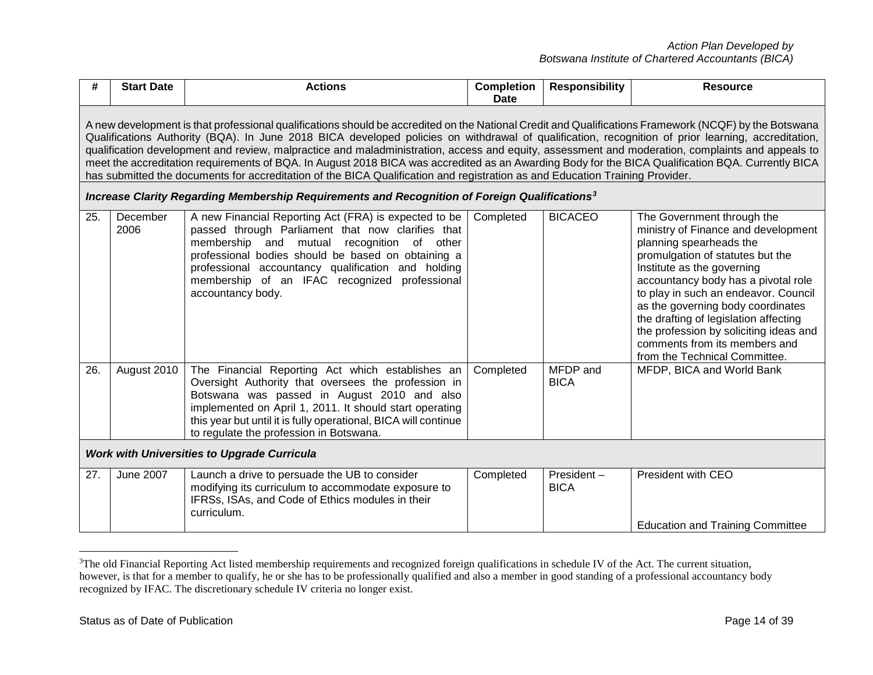<span id="page-13-0"></span>

| #   | <b>Start Date</b>                                                                                                                                                                                                                                                                                                                                                                                                                                                                                                                                                                                                                                                                                                                                    | <b>Actions</b>                                                                                                                                                                                                                                                                                                                             | <b>Completion</b><br><b>Date</b> | <b>Responsibility</b>     | <b>Resource</b>                                                                                                                                                                                                                                                                                                                                                                                                                         |  |  |  |
|-----|------------------------------------------------------------------------------------------------------------------------------------------------------------------------------------------------------------------------------------------------------------------------------------------------------------------------------------------------------------------------------------------------------------------------------------------------------------------------------------------------------------------------------------------------------------------------------------------------------------------------------------------------------------------------------------------------------------------------------------------------------|--------------------------------------------------------------------------------------------------------------------------------------------------------------------------------------------------------------------------------------------------------------------------------------------------------------------------------------------|----------------------------------|---------------------------|-----------------------------------------------------------------------------------------------------------------------------------------------------------------------------------------------------------------------------------------------------------------------------------------------------------------------------------------------------------------------------------------------------------------------------------------|--|--|--|
|     | A new development is that professional qualifications should be accredited on the National Credit and Qualifications Framework (NCQF) by the Botswana<br>Qualifications Authority (BQA). In June 2018 BICA developed policies on withdrawal of qualification, recognition of prior learning, accreditation,<br>qualification development and review, malpractice and maladministration, access and equity, assessment and moderation, complaints and appeals to<br>meet the accreditation requirements of BQA. In August 2018 BICA was accredited as an Awarding Body for the BICA Qualification BQA. Currently BICA<br>has submitted the documents for accreditation of the BICA Qualification and registration as and Education Training Provider. |                                                                                                                                                                                                                                                                                                                                            |                                  |                           |                                                                                                                                                                                                                                                                                                                                                                                                                                         |  |  |  |
|     |                                                                                                                                                                                                                                                                                                                                                                                                                                                                                                                                                                                                                                                                                                                                                      | Increase Clarity Regarding Membership Requirements and Recognition of Foreign Qualifications <sup>3</sup>                                                                                                                                                                                                                                  |                                  |                           |                                                                                                                                                                                                                                                                                                                                                                                                                                         |  |  |  |
| 25. | December<br>2006                                                                                                                                                                                                                                                                                                                                                                                                                                                                                                                                                                                                                                                                                                                                     | A new Financial Reporting Act (FRA) is expected to be<br>passed through Parliament that now clarifies that<br>membership and mutual recognition of other<br>professional bodies should be based on obtaining a<br>professional accountancy qualification and holding<br>membership of an IFAC recognized professional<br>accountancy body. | Completed                        | <b>BICACEO</b>            | The Government through the<br>ministry of Finance and development<br>planning spearheads the<br>promulgation of statutes but the<br>Institute as the governing<br>accountancy body has a pivotal role<br>to play in such an endeavor. Council<br>as the governing body coordinates<br>the drafting of legislation affecting<br>the profession by soliciting ideas and<br>comments from its members and<br>from the Technical Committee. |  |  |  |
| 26. | August 2010                                                                                                                                                                                                                                                                                                                                                                                                                                                                                                                                                                                                                                                                                                                                          | The Financial Reporting Act which establishes an<br>Oversight Authority that oversees the profession in<br>Botswana was passed in August 2010 and also<br>implemented on April 1, 2011. It should start operating<br>this year but until it is fully operational, BICA will continue<br>to regulate the profession in Botswana.            | Completed                        | MFDP and<br><b>BICA</b>   | MFDP, BICA and World Bank                                                                                                                                                                                                                                                                                                                                                                                                               |  |  |  |
|     | <b>Work with Universities to Upgrade Curricula</b>                                                                                                                                                                                                                                                                                                                                                                                                                                                                                                                                                                                                                                                                                                   |                                                                                                                                                                                                                                                                                                                                            |                                  |                           |                                                                                                                                                                                                                                                                                                                                                                                                                                         |  |  |  |
| 27. | June 2007                                                                                                                                                                                                                                                                                                                                                                                                                                                                                                                                                                                                                                                                                                                                            | Launch a drive to persuade the UB to consider<br>modifying its curriculum to accommodate exposure to<br>IFRSs, ISAs, and Code of Ethics modules in their<br>curriculum.                                                                                                                                                                    | Completed                        | President-<br><b>BICA</b> | President with CEO<br><b>Education and Training Committee</b>                                                                                                                                                                                                                                                                                                                                                                           |  |  |  |

 $\frac{1}{3}$ <sup>3</sup>The old Financial Reporting Act listed membership requirements and recognized foreign qualifications in schedule IV of the Act. The current situation, however, is that for a member to qualify, he or she has to be professionally qualified and also a member in good standing of a professional accountancy body recognized by IFAC. The discretionary schedule IV criteria no longer exist.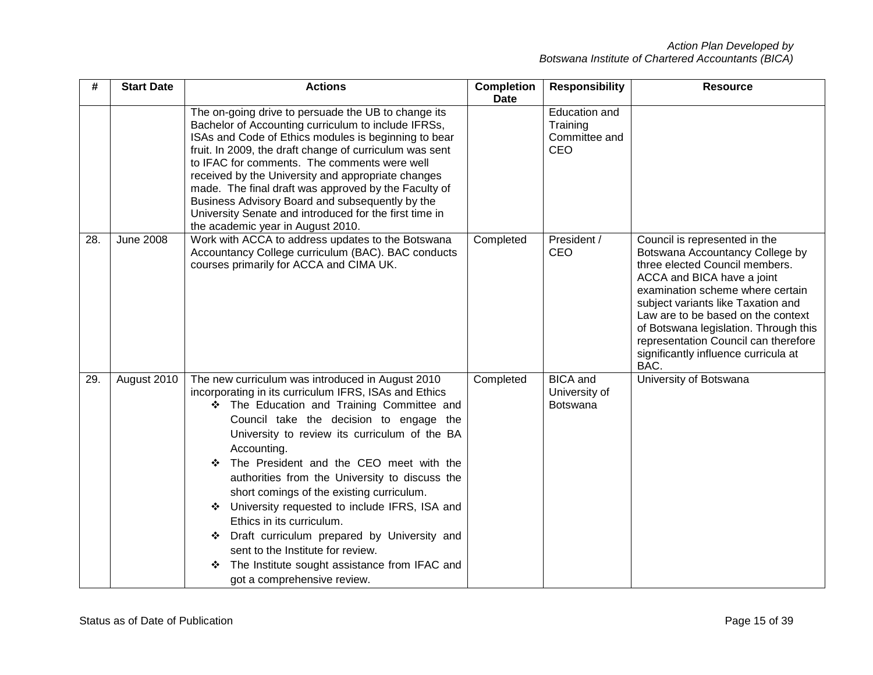| #   | <b>Start Date</b> | <b>Actions</b>                                                                                                                                                                                                                                                                                                                                                                                                                                                                                                                                                                                                                                                                     | <b>Completion</b><br><b>Date</b> | <b>Responsibility</b>                             | <b>Resource</b>                                                                                                                                                                                                                                                                                                                                                                   |
|-----|-------------------|------------------------------------------------------------------------------------------------------------------------------------------------------------------------------------------------------------------------------------------------------------------------------------------------------------------------------------------------------------------------------------------------------------------------------------------------------------------------------------------------------------------------------------------------------------------------------------------------------------------------------------------------------------------------------------|----------------------------------|---------------------------------------------------|-----------------------------------------------------------------------------------------------------------------------------------------------------------------------------------------------------------------------------------------------------------------------------------------------------------------------------------------------------------------------------------|
|     |                   | The on-going drive to persuade the UB to change its<br>Bachelor of Accounting curriculum to include IFRSs,<br>ISAs and Code of Ethics modules is beginning to bear<br>fruit. In 2009, the draft change of curriculum was sent<br>to IFAC for comments. The comments were well<br>received by the University and appropriate changes<br>made. The final draft was approved by the Faculty of<br>Business Advisory Board and subsequently by the<br>University Senate and introduced for the first time in<br>the academic year in August 2010.                                                                                                                                      |                                  | Education and<br>Training<br>Committee and<br>CEO |                                                                                                                                                                                                                                                                                                                                                                                   |
| 28. | <b>June 2008</b>  | Work with ACCA to address updates to the Botswana<br>Accountancy College curriculum (BAC). BAC conducts<br>courses primarily for ACCA and CIMA UK.                                                                                                                                                                                                                                                                                                                                                                                                                                                                                                                                 | Completed                        | President /<br>CEO                                | Council is represented in the<br>Botswana Accountancy College by<br>three elected Council members.<br>ACCA and BICA have a joint<br>examination scheme where certain<br>subject variants like Taxation and<br>Law are to be based on the context<br>of Botswana legislation. Through this<br>representation Council can therefore<br>significantly influence curricula at<br>BAC. |
| 29. | August 2010       | The new curriculum was introduced in August 2010<br>incorporating in its curriculum IFRS, ISAs and Ethics<br>* The Education and Training Committee and<br>Council take the decision to engage the<br>University to review its curriculum of the BA<br>Accounting.<br>The President and the CEO meet with the<br>❖<br>authorities from the University to discuss the<br>short comings of the existing curriculum.<br>University requested to include IFRS, ISA and<br>❖<br>Ethics in its curriculum.<br>Draft curriculum prepared by University and<br>❖<br>sent to the Institute for review.<br>The Institute sought assistance from IFAC and<br>❖<br>got a comprehensive review. | Completed                        | <b>BICA</b> and<br>University of<br>Botswana      | University of Botswana                                                                                                                                                                                                                                                                                                                                                            |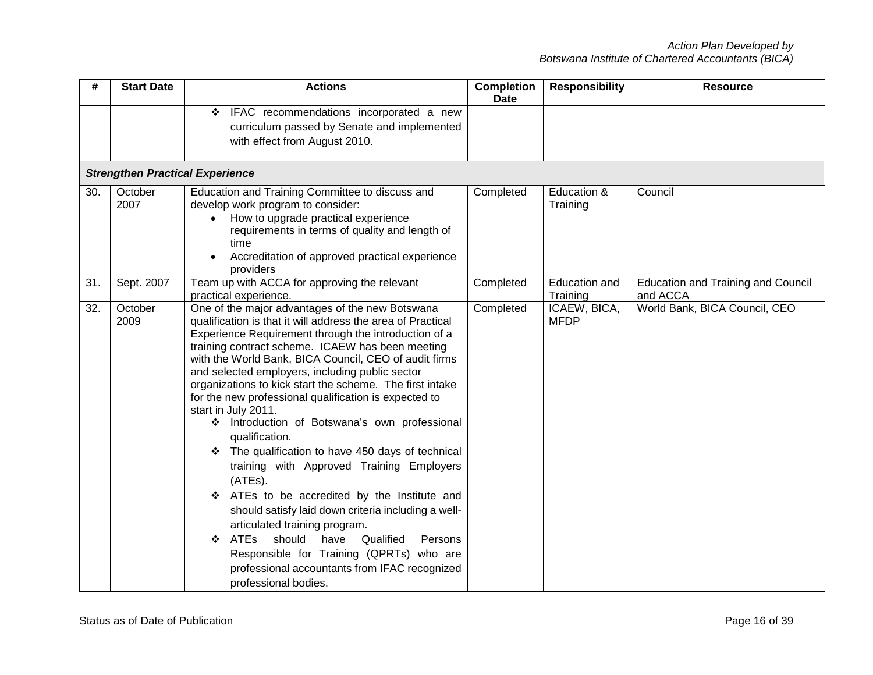| #   | <b>Start Date</b>                      | <b>Actions</b>                                                                                                                                                                                                                                                                                                                                                                                                                                                                                                                                                                                                                                                                                                                                                                                                                                                                                                                                                                                  | <b>Completion</b><br><b>Date</b> | <b>Responsibility</b>            | <b>Resource</b>                                       |
|-----|----------------------------------------|-------------------------------------------------------------------------------------------------------------------------------------------------------------------------------------------------------------------------------------------------------------------------------------------------------------------------------------------------------------------------------------------------------------------------------------------------------------------------------------------------------------------------------------------------------------------------------------------------------------------------------------------------------------------------------------------------------------------------------------------------------------------------------------------------------------------------------------------------------------------------------------------------------------------------------------------------------------------------------------------------|----------------------------------|----------------------------------|-------------------------------------------------------|
|     |                                        | IFAC recommendations incorporated a new<br>❖<br>curriculum passed by Senate and implemented<br>with effect from August 2010.                                                                                                                                                                                                                                                                                                                                                                                                                                                                                                                                                                                                                                                                                                                                                                                                                                                                    |                                  |                                  |                                                       |
|     | <b>Strengthen Practical Experience</b> |                                                                                                                                                                                                                                                                                                                                                                                                                                                                                                                                                                                                                                                                                                                                                                                                                                                                                                                                                                                                 |                                  |                                  |                                                       |
| 30. | October<br>2007                        | Education and Training Committee to discuss and<br>develop work program to consider:<br>How to upgrade practical experience<br>$\bullet$<br>requirements in terms of quality and length of<br>time<br>Accreditation of approved practical experience<br>providers                                                                                                                                                                                                                                                                                                                                                                                                                                                                                                                                                                                                                                                                                                                               | Completed                        | Education &<br>Training          | Council                                               |
| 31. | Sept. 2007                             | Team up with ACCA for approving the relevant<br>practical experience.                                                                                                                                                                                                                                                                                                                                                                                                                                                                                                                                                                                                                                                                                                                                                                                                                                                                                                                           | Completed                        | <b>Education and</b><br>Training | <b>Education and Training and Council</b><br>and ACCA |
| 32. | October<br>2009                        | One of the major advantages of the new Botswana<br>qualification is that it will address the area of Practical<br>Experience Requirement through the introduction of a<br>training contract scheme. ICAEW has been meeting<br>with the World Bank, BICA Council, CEO of audit firms<br>and selected employers, including public sector<br>organizations to kick start the scheme. The first intake<br>for the new professional qualification is expected to<br>start in July 2011.<br>Introduction of Botswana's own professional<br>❖<br>qualification.<br>The qualification to have 450 days of technical<br>❖<br>training with Approved Training Employers<br>(ATEs).<br>ATEs to be accredited by the Institute and<br>❖<br>should satisfy laid down criteria including a well-<br>articulated training program.<br>ATEs<br>should<br>have<br>Qualified<br>❖<br>Persons<br>Responsible for Training (QPRTs) who are<br>professional accountants from IFAC recognized<br>professional bodies. | Completed                        | ICAEW, BICA,<br><b>MFDP</b>      | World Bank, BICA Council, CEO                         |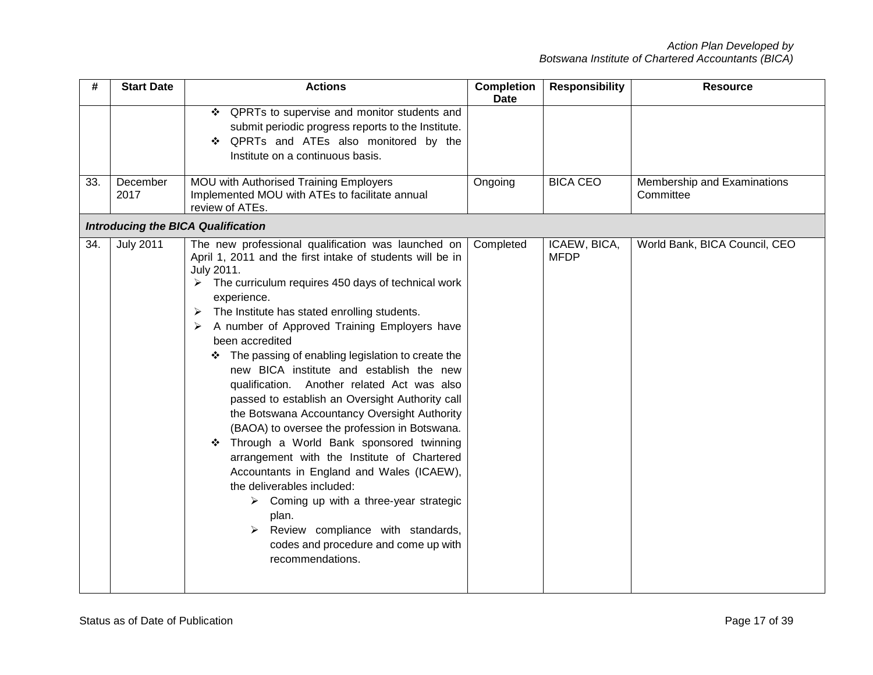| #   | <b>Start Date</b> | <b>Actions</b>                                                                                                                                                                                                                                                                                                                                                                                                                                                                                                                                                                                                                                                                                                                                                                                                                                                                                                                                                                                          | <b>Completion</b><br><b>Date</b> | <b>Responsibility</b>       | <b>Resource</b>                          |
|-----|-------------------|---------------------------------------------------------------------------------------------------------------------------------------------------------------------------------------------------------------------------------------------------------------------------------------------------------------------------------------------------------------------------------------------------------------------------------------------------------------------------------------------------------------------------------------------------------------------------------------------------------------------------------------------------------------------------------------------------------------------------------------------------------------------------------------------------------------------------------------------------------------------------------------------------------------------------------------------------------------------------------------------------------|----------------------------------|-----------------------------|------------------------------------------|
|     |                   | ❖ QPRTs to supervise and monitor students and<br>submit periodic progress reports to the Institute.<br>QPRTs and ATEs also monitored by the<br>❖<br>Institute on a continuous basis.                                                                                                                                                                                                                                                                                                                                                                                                                                                                                                                                                                                                                                                                                                                                                                                                                    |                                  |                             |                                          |
| 33. | December<br>2017  | MOU with Authorised Training Employers<br>Implemented MOU with ATEs to facilitate annual<br>review of ATEs.                                                                                                                                                                                                                                                                                                                                                                                                                                                                                                                                                                                                                                                                                                                                                                                                                                                                                             | Ongoing                          | <b>BICA CEO</b>             | Membership and Examinations<br>Committee |
|     |                   | <b>Introducing the BICA Qualification</b>                                                                                                                                                                                                                                                                                                                                                                                                                                                                                                                                                                                                                                                                                                                                                                                                                                                                                                                                                               |                                  |                             |                                          |
| 34. | <b>July 2011</b>  | The new professional qualification was launched on<br>April 1, 2011 and the first intake of students will be in<br>July 2011.<br>$\triangleright$ The curriculum requires 450 days of technical work<br>experience.<br>The Institute has stated enrolling students.<br>➤<br>A number of Approved Training Employers have<br>➤<br>been accredited<br>The passing of enabling legislation to create the<br>new BICA institute and establish the new<br>qualification. Another related Act was also<br>passed to establish an Oversight Authority call<br>the Botswana Accountancy Oversight Authority<br>(BAOA) to oversee the profession in Botswana.<br>Through a World Bank sponsored twinning<br>❖<br>arrangement with the Institute of Chartered<br>Accountants in England and Wales (ICAEW),<br>the deliverables included:<br>$\triangleright$ Coming up with a three-year strategic<br>plan.<br>Review compliance with standards,<br>➤<br>codes and procedure and come up with<br>recommendations. | Completed                        | ICAEW, BICA,<br><b>MFDP</b> | World Bank, BICA Council, CEO            |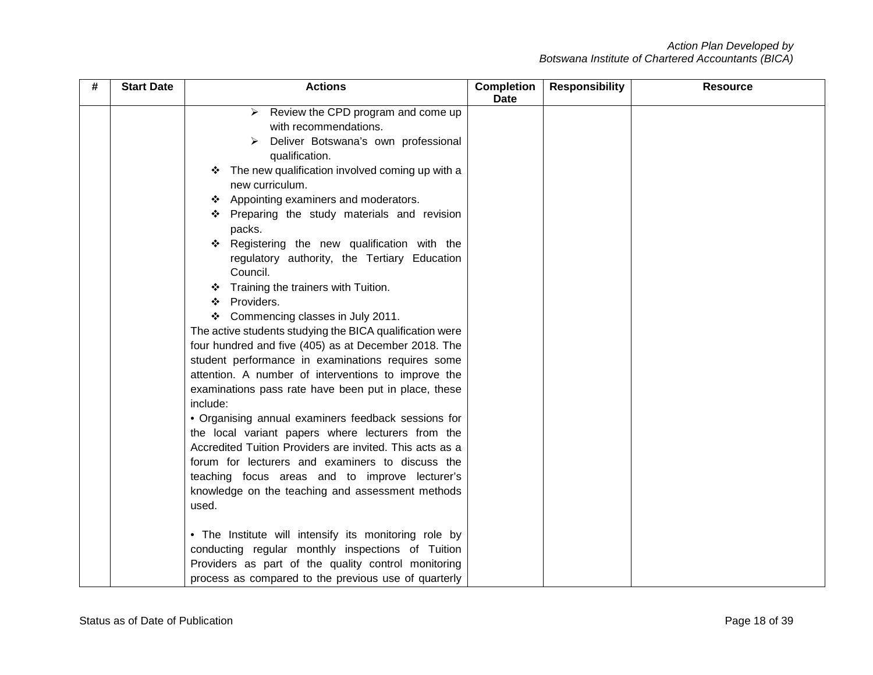| # | <b>Start Date</b> | <b>Actions</b>                                           | <b>Completion</b><br><b>Date</b> | <b>Responsibility</b> | <b>Resource</b> |
|---|-------------------|----------------------------------------------------------|----------------------------------|-----------------------|-----------------|
|   |                   | Review the CPD program and come up<br>➤                  |                                  |                       |                 |
|   |                   | with recommendations.                                    |                                  |                       |                 |
|   |                   | Deliver Botswana's own professional                      |                                  |                       |                 |
|   |                   | qualification.                                           |                                  |                       |                 |
|   |                   | The new qualification involved coming up with a<br>❖     |                                  |                       |                 |
|   |                   | new curriculum.                                          |                                  |                       |                 |
|   |                   | Appointing examiners and moderators.<br>❖                |                                  |                       |                 |
|   |                   | Preparing the study materials and revision               |                                  |                       |                 |
|   |                   | packs.                                                   |                                  |                       |                 |
|   |                   | Registering the new qualification with the<br>❖          |                                  |                       |                 |
|   |                   | regulatory authority, the Tertiary Education             |                                  |                       |                 |
|   |                   | Council.                                                 |                                  |                       |                 |
|   |                   | Training the trainers with Tuition.<br>❖                 |                                  |                       |                 |
|   |                   | Providers.<br>❖                                          |                                  |                       |                 |
|   |                   | Commencing classes in July 2011.<br>❖                    |                                  |                       |                 |
|   |                   | The active students studying the BICA qualification were |                                  |                       |                 |
|   |                   | four hundred and five (405) as at December 2018. The     |                                  |                       |                 |
|   |                   | student performance in examinations requires some        |                                  |                       |                 |
|   |                   | attention. A number of interventions to improve the      |                                  |                       |                 |
|   |                   | examinations pass rate have been put in place, these     |                                  |                       |                 |
|   |                   | include:                                                 |                                  |                       |                 |
|   |                   | • Organising annual examiners feedback sessions for      |                                  |                       |                 |
|   |                   | the local variant papers where lecturers from the        |                                  |                       |                 |
|   |                   | Accredited Tuition Providers are invited. This acts as a |                                  |                       |                 |
|   |                   | forum for lecturers and examiners to discuss the         |                                  |                       |                 |
|   |                   | teaching focus areas and to improve lecturer's           |                                  |                       |                 |
|   |                   | knowledge on the teaching and assessment methods         |                                  |                       |                 |
|   |                   | used.                                                    |                                  |                       |                 |
|   |                   | . The Institute will intensify its monitoring role by    |                                  |                       |                 |
|   |                   | conducting regular monthly inspections of Tuition        |                                  |                       |                 |
|   |                   | Providers as part of the quality control monitoring      |                                  |                       |                 |
|   |                   | process as compared to the previous use of quarterly     |                                  |                       |                 |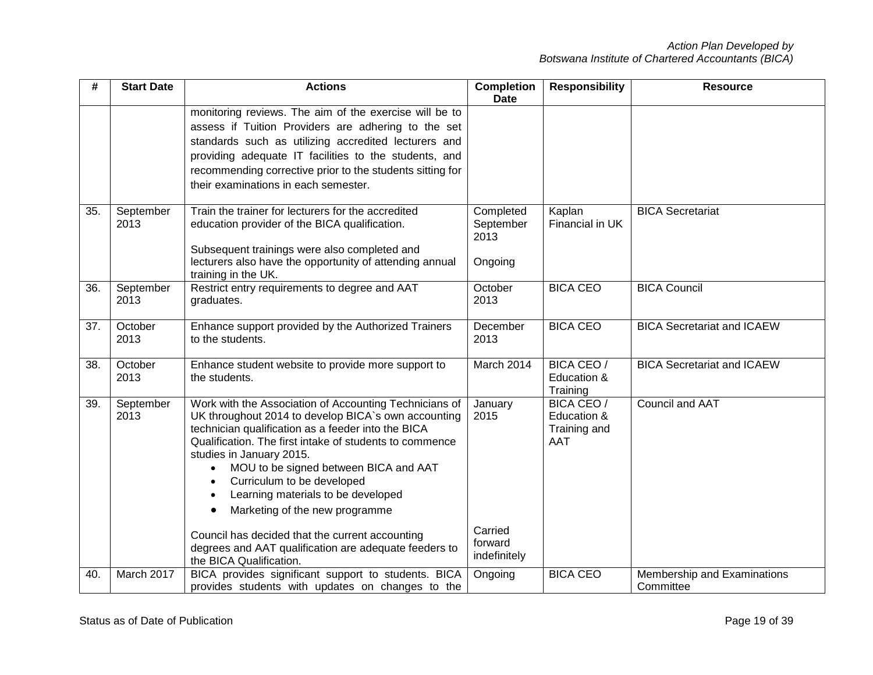| #   | <b>Start Date</b> | <b>Actions</b>                                                                                                                                                                                                                                                                                                                                                                                                                                                                                                   | <b>Completion</b><br><b>Date</b>          | <b>Responsibility</b>                                   | <b>Resource</b>                          |
|-----|-------------------|------------------------------------------------------------------------------------------------------------------------------------------------------------------------------------------------------------------------------------------------------------------------------------------------------------------------------------------------------------------------------------------------------------------------------------------------------------------------------------------------------------------|-------------------------------------------|---------------------------------------------------------|------------------------------------------|
|     |                   | monitoring reviews. The aim of the exercise will be to<br>assess if Tuition Providers are adhering to the set<br>standards such as utilizing accredited lecturers and<br>providing adequate IT facilities to the students, and<br>recommending corrective prior to the students sitting for<br>their examinations in each semester.                                                                                                                                                                              |                                           |                                                         |                                          |
| 35. | September<br>2013 | Train the trainer for lecturers for the accredited<br>education provider of the BICA qualification.<br>Subsequent trainings were also completed and<br>lecturers also have the opportunity of attending annual<br>training in the UK.                                                                                                                                                                                                                                                                            | Completed<br>September<br>2013<br>Ongoing | Kaplan<br>Financial in UK                               | <b>BICA Secretariat</b>                  |
| 36. | September<br>2013 | Restrict entry requirements to degree and AAT<br>graduates.                                                                                                                                                                                                                                                                                                                                                                                                                                                      | October<br>2013                           | <b>BICA CEO</b>                                         | <b>BICA Council</b>                      |
| 37. | October<br>2013   | Enhance support provided by the Authorized Trainers<br>to the students.                                                                                                                                                                                                                                                                                                                                                                                                                                          | December<br>2013                          | <b>BICA CEO</b>                                         | <b>BICA Secretariat and ICAEW</b>        |
| 38. | October<br>2013   | Enhance student website to provide more support to<br>the students.                                                                                                                                                                                                                                                                                                                                                                                                                                              | March 2014                                | <b>BICA CEO /</b><br>Education &<br>Training            | <b>BICA Secretariat and ICAEW</b>        |
| 39. | September<br>2013 | Work with the Association of Accounting Technicians of<br>UK throughout 2014 to develop BICA's own accounting<br>technician qualification as a feeder into the BICA<br>Qualification. The first intake of students to commence<br>studies in January 2015.<br>MOU to be signed between BICA and AAT<br>$\bullet$<br>Curriculum to be developed<br>$\bullet$<br>Learning materials to be developed<br>$\bullet$<br>Marketing of the new programme<br>$\bullet$<br>Council has decided that the current accounting | January<br>2015<br>Carried<br>forward     | BICA CEO /<br>Education &<br>Training and<br><b>AAT</b> | Council and AAT                          |
|     |                   | degrees and AAT qualification are adequate feeders to<br>the BICA Qualification.                                                                                                                                                                                                                                                                                                                                                                                                                                 | indefinitely                              |                                                         |                                          |
| 40. | March 2017        | BICA provides significant support to students. BICA<br>provides students with updates on changes to the                                                                                                                                                                                                                                                                                                                                                                                                          | Ongoing                                   | <b>BICA CEO</b>                                         | Membership and Examinations<br>Committee |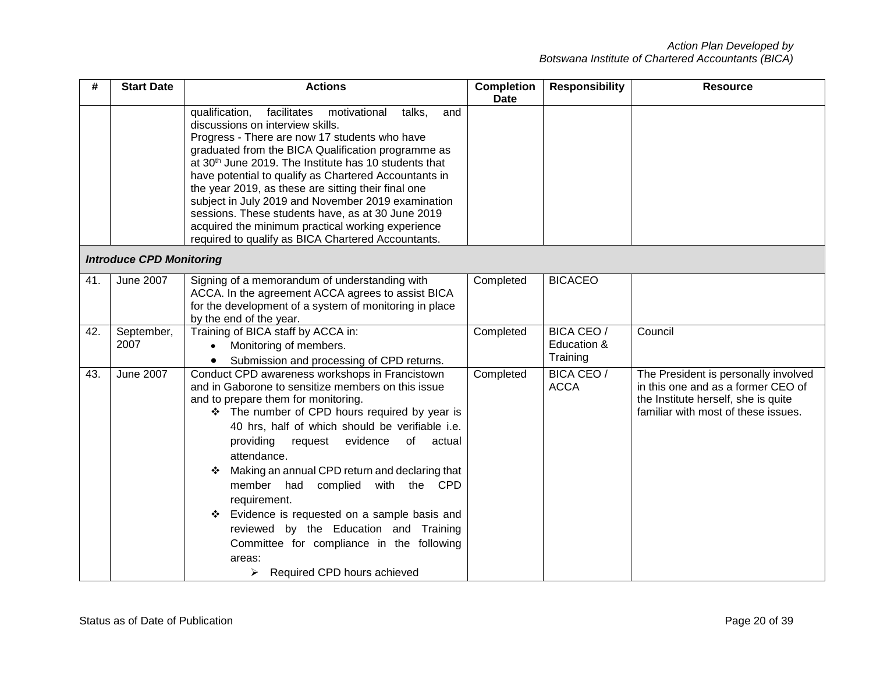| #   | <b>Start Date</b>               | <b>Actions</b>                                                                                                                                                                                                                                                                                                                                                                                                                                                                                                                                                                                                            | <b>Completion</b><br><b>Date</b> | <b>Responsibility</b>                        | <b>Resource</b>                                                                                                                                          |
|-----|---------------------------------|---------------------------------------------------------------------------------------------------------------------------------------------------------------------------------------------------------------------------------------------------------------------------------------------------------------------------------------------------------------------------------------------------------------------------------------------------------------------------------------------------------------------------------------------------------------------------------------------------------------------------|----------------------------------|----------------------------------------------|----------------------------------------------------------------------------------------------------------------------------------------------------------|
|     |                                 | talks,<br>qualification,<br>facilitates<br>motivational<br>and<br>discussions on interview skills.<br>Progress - There are now 17 students who have<br>graduated from the BICA Qualification programme as<br>at 30 <sup>th</sup> June 2019. The Institute has 10 students that<br>have potential to qualify as Chartered Accountants in<br>the year 2019, as these are sitting their final one<br>subject in July 2019 and November 2019 examination<br>sessions. These students have, as at 30 June 2019<br>acquired the minimum practical working experience<br>required to qualify as BICA Chartered Accountants.      |                                  |                                              |                                                                                                                                                          |
|     | <b>Introduce CPD Monitoring</b> |                                                                                                                                                                                                                                                                                                                                                                                                                                                                                                                                                                                                                           |                                  |                                              |                                                                                                                                                          |
| 41. | <b>June 2007</b>                | Signing of a memorandum of understanding with<br>ACCA. In the agreement ACCA agrees to assist BICA<br>for the development of a system of monitoring in place<br>by the end of the year.                                                                                                                                                                                                                                                                                                                                                                                                                                   | Completed                        | <b>BICACEO</b>                               |                                                                                                                                                          |
| 42. | September,<br>2007              | Training of BICA staff by ACCA in:<br>Monitoring of members.<br>$\bullet$<br>Submission and processing of CPD returns.                                                                                                                                                                                                                                                                                                                                                                                                                                                                                                    | Completed                        | <b>BICA CEO /</b><br>Education &<br>Training | Council                                                                                                                                                  |
| 43. | June 2007                       | Conduct CPD awareness workshops in Francistown<br>and in Gaborone to sensitize members on this issue<br>and to prepare them for monitoring.<br>❖ The number of CPD hours required by year is<br>40 hrs, half of which should be verifiable i.e.<br>providing<br>request evidence<br>of<br>actual<br>attendance.<br>Making an annual CPD return and declaring that<br>❖<br>member had<br>complied<br>with the CPD<br>requirement.<br>Evidence is requested on a sample basis and<br>❖<br>reviewed by the Education and Training<br>Committee for compliance in the following<br>areas:<br>Required CPD hours achieved<br>≻ | Completed                        | <b>BICA CEO /</b><br><b>ACCA</b>             | The President is personally involved<br>in this one and as a former CEO of<br>the Institute herself, she is quite<br>familiar with most of these issues. |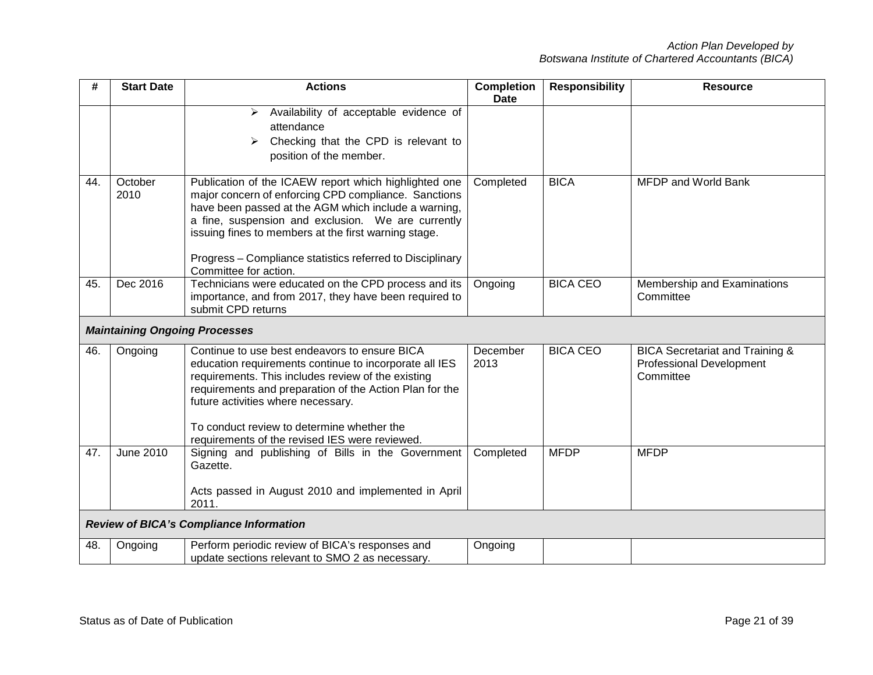| #   | <b>Start Date</b>                    | <b>Actions</b>                                                                                                                                                                                                                                                                                                                                                            | <b>Completion</b><br><b>Date</b> | <b>Responsibility</b> | <b>Resource</b>                                                                            |
|-----|--------------------------------------|---------------------------------------------------------------------------------------------------------------------------------------------------------------------------------------------------------------------------------------------------------------------------------------------------------------------------------------------------------------------------|----------------------------------|-----------------------|--------------------------------------------------------------------------------------------|
|     |                                      | Availability of acceptable evidence of<br>➤<br>attendance<br>Checking that the CPD is relevant to<br>≻<br>position of the member.                                                                                                                                                                                                                                         |                                  |                       |                                                                                            |
| 44. | October<br>2010                      | Publication of the ICAEW report which highlighted one<br>major concern of enforcing CPD compliance. Sanctions<br>have been passed at the AGM which include a warning,<br>a fine, suspension and exclusion. We are currently<br>issuing fines to members at the first warning stage.<br>Progress - Compliance statistics referred to Disciplinary<br>Committee for action. | Completed                        | <b>BICA</b>           | <b>MFDP and World Bank</b>                                                                 |
| 45. | Dec 2016                             | Technicians were educated on the CPD process and its<br>importance, and from 2017, they have been required to<br>submit CPD returns                                                                                                                                                                                                                                       | Ongoing                          | <b>BICA CEO</b>       | Membership and Examinations<br>Committee                                                   |
|     | <b>Maintaining Ongoing Processes</b> |                                                                                                                                                                                                                                                                                                                                                                           |                                  |                       |                                                                                            |
| 46. | Ongoing                              | Continue to use best endeavors to ensure BICA<br>education requirements continue to incorporate all IES<br>requirements. This includes review of the existing<br>requirements and preparation of the Action Plan for the<br>future activities where necessary.<br>To conduct review to determine whether the<br>requirements of the revised IES were reviewed.            | December<br>2013                 | <b>BICA CEO</b>       | <b>BICA Secretariat and Training &amp;</b><br><b>Professional Development</b><br>Committee |
| 47. | June 2010                            | Signing and publishing of Bills in the Government<br>Gazette.<br>Acts passed in August 2010 and implemented in April<br>2011.                                                                                                                                                                                                                                             | Completed                        | <b>MFDP</b>           | <b>MFDP</b>                                                                                |
|     |                                      | <b>Review of BICA's Compliance Information</b>                                                                                                                                                                                                                                                                                                                            |                                  |                       |                                                                                            |
| 48. | Ongoing                              | Perform periodic review of BICA's responses and<br>update sections relevant to SMO 2 as necessary.                                                                                                                                                                                                                                                                        | Ongoing                          |                       |                                                                                            |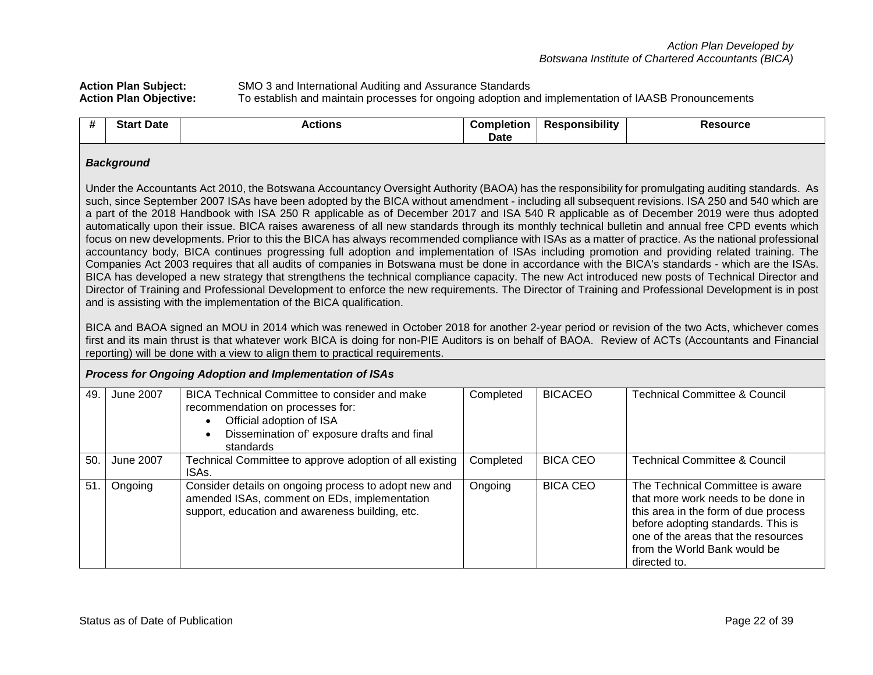# Action Plan Subject: SMO 3 and International Auditing and Assurance Standards<br>
Action Plan Objective: To establish and maintain processes for ongoing adoption are **Action Plan Objective:** To establish and maintain processes for ongoing adoption and implementation of IAASB Pronouncements

| -44<br>11 | <b>Start Date</b> | Actions | Completion | <br><b>Responsibility</b> | Resource |
|-----------|-------------------|---------|------------|---------------------------|----------|
|           |                   |         | Date       |                           |          |

#### *Background*

Under the Accountants Act 2010, the Botswana Accountancy Oversight Authority (BAOA) has the responsibility for promulgating auditing standards. As such, since September 2007 ISAs have been adopted by the BICA without amendment - including all subsequent revisions. ISA 250 and 540 which are a part of the 2018 Handbook with ISA 250 R applicable as of December 2017 and ISA 540 R applicable as of December 2019 were thus adopted automatically upon their issue. BICA raises awareness of all new standards through its monthly technical bulletin and annual free CPD events which focus on new developments. Prior to this the BICA has always recommended compliance with ISAs as a matter of practice. As the national professional accountancy body, BICA continues progressing full adoption and implementation of ISAs including promotion and providing related training. The Companies Act 2003 requires that all audits of companies in Botswana must be done in accordance with the BICA's standards - which are the ISAs. BICA has developed a new strategy that strengthens the technical compliance capacity. The new Act introduced new posts of Technical Director and Director of Training and Professional Development to enforce the new requirements. The Director of Training and Professional Development is in post and is assisting with the implementation of the BICA qualification.

BICA and BAOA signed an MOU in 2014 which was renewed in October 2018 for another 2-year period or revision of the two Acts, whichever comes first and its main thrust is that whatever work BICA is doing for non-PIE Auditors is on behalf of BAOA. Review of ACTs (Accountants and Financial reporting) will be done with a view to align them to practical requirements.

#### *Process for Ongoing Adoption and Implementation of ISAs*

| 49 | June 2007        | <b>BICA Technical Committee to consider and make</b><br>recommendation on processes for:<br>Official adoption of ISA<br>Dissemination of' exposure drafts and final<br>standards | Completed | <b>BICACEO</b>  | <b>Technical Committee &amp; Council</b>                                                                                                                                                                                                    |
|----|------------------|----------------------------------------------------------------------------------------------------------------------------------------------------------------------------------|-----------|-----------------|---------------------------------------------------------------------------------------------------------------------------------------------------------------------------------------------------------------------------------------------|
| 50 | <b>June 2007</b> | Technical Committee to approve adoption of all existing<br>ISA <sub>s</sub>                                                                                                      | Completed | <b>BICA CEO</b> | <b>Technical Committee &amp; Council</b>                                                                                                                                                                                                    |
| 51 | Ongoing          | Consider details on ongoing process to adopt new and<br>amended ISAs, comment on EDs, implementation<br>support, education and awareness building, etc.                          | Ongoing   | <b>BICA CEO</b> | The Technical Committee is aware<br>that more work needs to be done in<br>this area in the form of due process<br>before adopting standards. This is<br>one of the areas that the resources<br>from the World Bank would be<br>directed to. |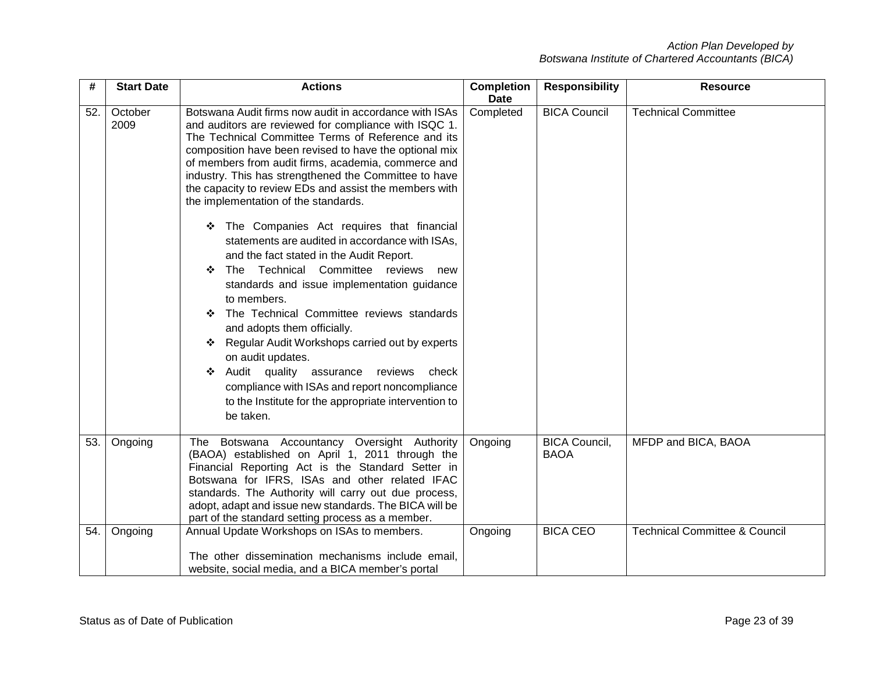| #   | <b>Start Date</b> | <b>Actions</b>                                                                                                                                                                                                                                                                                                                                                                                                                                                                                                                                                                                                                                                                                                                                                                                                                                                                                                                                                                                                                                          | <b>Completion</b><br><b>Date</b> | <b>Responsibility</b>               | <b>Resource</b>                          |
|-----|-------------------|---------------------------------------------------------------------------------------------------------------------------------------------------------------------------------------------------------------------------------------------------------------------------------------------------------------------------------------------------------------------------------------------------------------------------------------------------------------------------------------------------------------------------------------------------------------------------------------------------------------------------------------------------------------------------------------------------------------------------------------------------------------------------------------------------------------------------------------------------------------------------------------------------------------------------------------------------------------------------------------------------------------------------------------------------------|----------------------------------|-------------------------------------|------------------------------------------|
| 52. | October<br>2009   | Botswana Audit firms now audit in accordance with ISAs<br>and auditors are reviewed for compliance with ISQC 1.<br>The Technical Committee Terms of Reference and its<br>composition have been revised to have the optional mix<br>of members from audit firms, academia, commerce and<br>industry. This has strengthened the Committee to have<br>the capacity to review EDs and assist the members with<br>the implementation of the standards.<br>The Companies Act requires that financial<br>statements are audited in accordance with ISAs,<br>and the fact stated in the Audit Report.<br>Technical Committee reviews<br>The<br>new<br>❖<br>standards and issue implementation guidance<br>to members.<br>The Technical Committee reviews standards<br>❖<br>and adopts them officially.<br>Regular Audit Workshops carried out by experts<br>❖<br>on audit updates.<br>Audit quality<br>assurance<br>reviews<br>check<br>❖<br>compliance with ISAs and report noncompliance<br>to the Institute for the appropriate intervention to<br>be taken. | Completed                        | <b>BICA Council</b>                 | <b>Technical Committee</b>               |
| 53. | Ongoing           | The Botswana Accountancy Oversight Authority<br>(BAOA) established on April 1, 2011 through the<br>Financial Reporting Act is the Standard Setter in<br>Botswana for IFRS, ISAs and other related IFAC<br>standards. The Authority will carry out due process,<br>adopt, adapt and issue new standards. The BICA will be<br>part of the standard setting process as a member.                                                                                                                                                                                                                                                                                                                                                                                                                                                                                                                                                                                                                                                                           | Ongoing                          | <b>BICA Council,</b><br><b>BAOA</b> | MFDP and BICA, BAOA                      |
| 54. | Ongoing           | Annual Update Workshops on ISAs to members.<br>The other dissemination mechanisms include email,<br>website, social media, and a BICA member's portal                                                                                                                                                                                                                                                                                                                                                                                                                                                                                                                                                                                                                                                                                                                                                                                                                                                                                                   | Ongoing                          | <b>BICA CEO</b>                     | <b>Technical Committee &amp; Council</b> |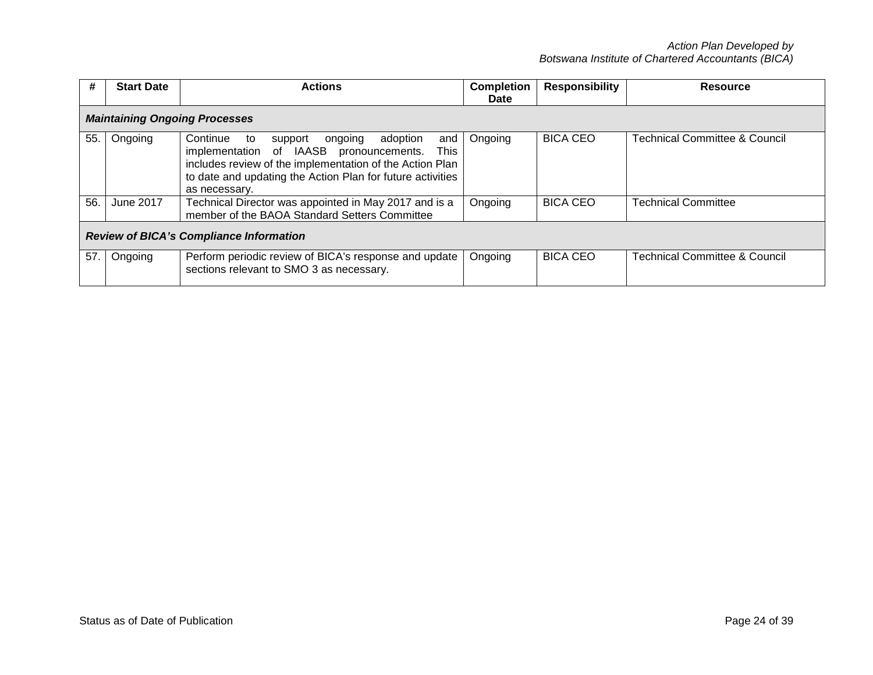| #   | <b>Start Date</b>                              | <b>Actions</b>                                                                                                                                                                                                                                        | <b>Completion</b> | <b>Responsibility</b> | <b>Resource</b>                          |  |  |  |
|-----|------------------------------------------------|-------------------------------------------------------------------------------------------------------------------------------------------------------------------------------------------------------------------------------------------------------|-------------------|-----------------------|------------------------------------------|--|--|--|
|     |                                                |                                                                                                                                                                                                                                                       | Date              |                       |                                          |  |  |  |
|     | <b>Maintaining Ongoing Processes</b>           |                                                                                                                                                                                                                                                       |                   |                       |                                          |  |  |  |
| 55. | Ongoing                                        | Continue<br>adoption<br>to<br>support<br>ongoing<br>and<br>implementation of IAASB pronouncements.<br>This<br>includes review of the implementation of the Action Plan<br>to date and updating the Action Plan for future activities<br>as necessary. | Ongoing           | <b>BICA CEO</b>       | <b>Technical Committee &amp; Council</b> |  |  |  |
| 56. | June 2017                                      | Technical Director was appointed in May 2017 and is a<br>member of the BAOA Standard Setters Committee                                                                                                                                                | Ongoing           | <b>BICA CEO</b>       | <b>Technical Committee</b>               |  |  |  |
|     | <b>Review of BICA's Compliance Information</b> |                                                                                                                                                                                                                                                       |                   |                       |                                          |  |  |  |
| 57. | Ongoing                                        | Perform periodic review of BICA's response and update<br>sections relevant to SMO 3 as necessary.                                                                                                                                                     | Ongoing           | <b>BICA CEO</b>       | <b>Technical Committee &amp; Council</b> |  |  |  |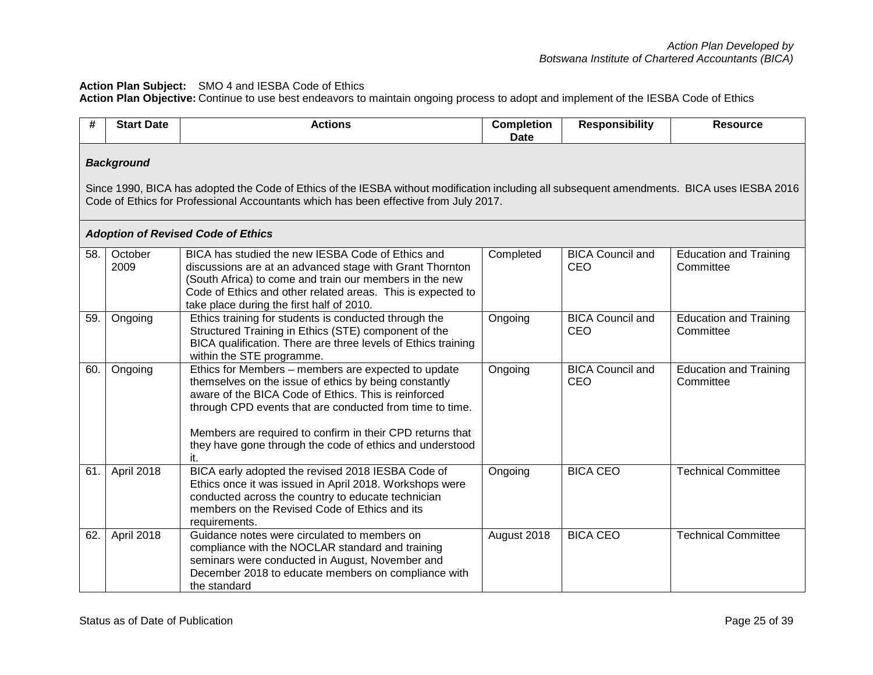## **Action Plan Subject:** SMO 4 and IESBA Code of Ethics

**Action Plan Objective:** Continue to use best endeavors to maintain ongoing process to adopt and implement of the IESBA Code of Ethics

| #   | <b>Start Date</b> | <b>Actions</b>                                                                                                                                                                                                                                                                                                                                                   | <b>Completion</b><br><b>Date</b> | <b>Responsibility</b>                 | <b>Resource</b>                            |
|-----|-------------------|------------------------------------------------------------------------------------------------------------------------------------------------------------------------------------------------------------------------------------------------------------------------------------------------------------------------------------------------------------------|----------------------------------|---------------------------------------|--------------------------------------------|
|     | <b>Background</b> | Since 1990, BICA has adopted the Code of Ethics of the IESBA without modification including all subsequent amendments. BICA uses IESBA 2016<br>Code of Ethics for Professional Accountants which has been effective from July 2017.<br><b>Adoption of Revised Code of Ethics</b>                                                                                 |                                  |                                       |                                            |
| 58. | October<br>2009   | BICA has studied the new IESBA Code of Ethics and<br>discussions are at an advanced stage with Grant Thornton<br>(South Africa) to come and train our members in the new<br>Code of Ethics and other related areas. This is expected to<br>take place during the first half of 2010.                                                                             | Completed                        | <b>BICA Council and</b><br>CEO        | <b>Education and Training</b><br>Committee |
| 59. | Ongoing           | Ethics training for students is conducted through the<br>Structured Training in Ethics (STE) component of the<br>BICA qualification. There are three levels of Ethics training<br>within the STE programme.                                                                                                                                                      | Ongoing                          | <b>BICA Council and</b><br>CEO        | <b>Education and Training</b><br>Committee |
| 60. | Ongoing           | Ethics for Members - members are expected to update<br>themselves on the issue of ethics by being constantly<br>aware of the BICA Code of Ethics. This is reinforced<br>through CPD events that are conducted from time to time.<br>Members are required to confirm in their CPD returns that<br>they have gone through the code of ethics and understood<br>it. | Ongoing                          | <b>BICA Council and</b><br><b>CEO</b> | <b>Education and Training</b><br>Committee |
| 61. | April 2018        | BICA early adopted the revised 2018 IESBA Code of<br>Ethics once it was issued in April 2018. Workshops were<br>conducted across the country to educate technician<br>members on the Revised Code of Ethics and its<br>requirements.                                                                                                                             | Ongoing                          | <b>BICA CEO</b>                       | <b>Technical Committee</b>                 |
| 62. | April 2018        | Guidance notes were circulated to members on<br>compliance with the NOCLAR standard and training<br>seminars were conducted in August, November and<br>December 2018 to educate members on compliance with<br>the standard                                                                                                                                       | August 2018                      | <b>BICA CEO</b>                       | <b>Technical Committee</b>                 |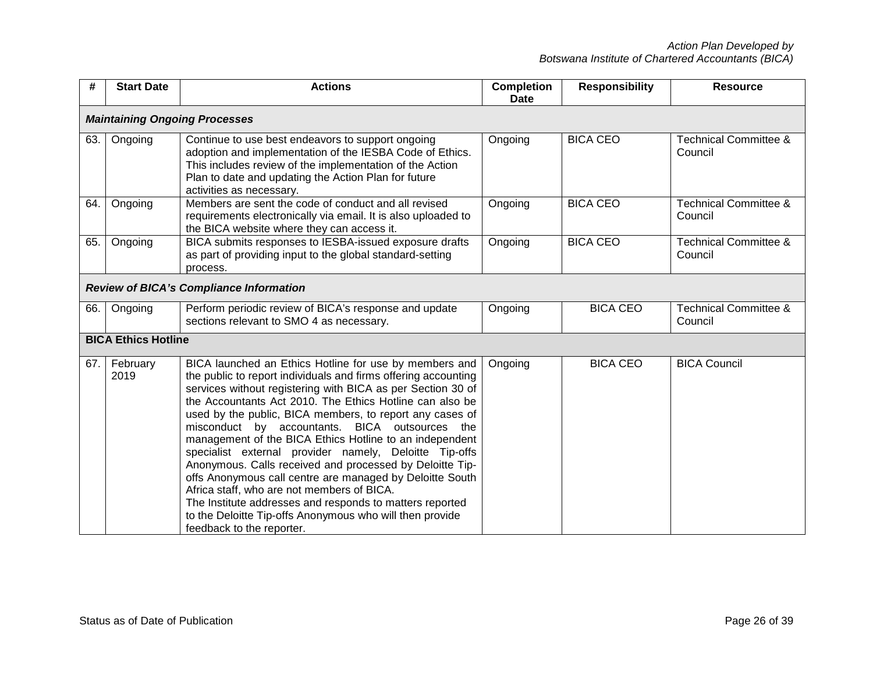| #    | <b>Start Date</b>                    | <b>Actions</b>                                                                                                                                                                                                                                                                                                                                                                                                                                                                                                                                                                                                                                                                                                                                                                                                    | <b>Completion</b><br>Date | <b>Responsibility</b> | <b>Resource</b>                             |  |  |  |
|------|--------------------------------------|-------------------------------------------------------------------------------------------------------------------------------------------------------------------------------------------------------------------------------------------------------------------------------------------------------------------------------------------------------------------------------------------------------------------------------------------------------------------------------------------------------------------------------------------------------------------------------------------------------------------------------------------------------------------------------------------------------------------------------------------------------------------------------------------------------------------|---------------------------|-----------------------|---------------------------------------------|--|--|--|
|      | <b>Maintaining Ongoing Processes</b> |                                                                                                                                                                                                                                                                                                                                                                                                                                                                                                                                                                                                                                                                                                                                                                                                                   |                           |                       |                                             |  |  |  |
| 63.  | Ongoing                              | Continue to use best endeavors to support ongoing<br>adoption and implementation of the IESBA Code of Ethics.<br>This includes review of the implementation of the Action<br>Plan to date and updating the Action Plan for future<br>activities as necessary.                                                                                                                                                                                                                                                                                                                                                                                                                                                                                                                                                     | Ongoing                   | <b>BICA CEO</b>       | <b>Technical Committee &amp;</b><br>Council |  |  |  |
| 64.  | Ongoing                              | Members are sent the code of conduct and all revised<br>requirements electronically via email. It is also uploaded to<br>the BICA website where they can access it.                                                                                                                                                                                                                                                                                                                                                                                                                                                                                                                                                                                                                                               | Ongoing                   | <b>BICA CEO</b>       | <b>Technical Committee &amp;</b><br>Council |  |  |  |
| 65.  | Ongoing                              | BICA submits responses to IESBA-issued exposure drafts<br>as part of providing input to the global standard-setting<br>process.                                                                                                                                                                                                                                                                                                                                                                                                                                                                                                                                                                                                                                                                                   | Ongoing                   | <b>BICA CEO</b>       | <b>Technical Committee &amp;</b><br>Council |  |  |  |
|      |                                      | <b>Review of BICA's Compliance Information</b>                                                                                                                                                                                                                                                                                                                                                                                                                                                                                                                                                                                                                                                                                                                                                                    |                           |                       |                                             |  |  |  |
| 66.  | Ongoing                              | Perform periodic review of BICA's response and update<br>sections relevant to SMO 4 as necessary.                                                                                                                                                                                                                                                                                                                                                                                                                                                                                                                                                                                                                                                                                                                 | Ongoing                   | <b>BICA CEO</b>       | <b>Technical Committee &amp;</b><br>Council |  |  |  |
|      | <b>BICA Ethics Hotline</b>           |                                                                                                                                                                                                                                                                                                                                                                                                                                                                                                                                                                                                                                                                                                                                                                                                                   |                           |                       |                                             |  |  |  |
| 67.1 | February<br>2019                     | BICA launched an Ethics Hotline for use by members and<br>the public to report individuals and firms offering accounting<br>services without registering with BICA as per Section 30 of<br>the Accountants Act 2010. The Ethics Hotline can also be<br>used by the public, BICA members, to report any cases of<br>misconduct by accountants. BICA outsources the<br>management of the BICA Ethics Hotline to an independent<br>specialist external provider namely, Deloitte Tip-offs<br>Anonymous. Calls received and processed by Deloitte Tip-<br>offs Anonymous call centre are managed by Deloitte South<br>Africa staff, who are not members of BICA.<br>The Institute addresses and responds to matters reported<br>to the Deloitte Tip-offs Anonymous who will then provide<br>feedback to the reporter. | Ongoing                   | <b>BICA CEO</b>       | <b>BICA Council</b>                         |  |  |  |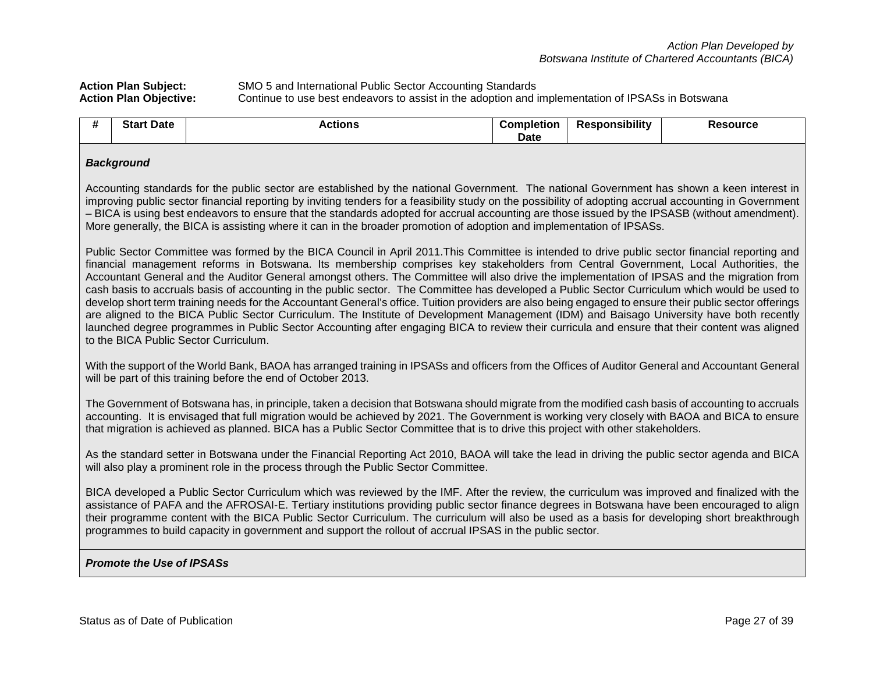Action Plan Subject:<br> **Action Plan Objective:** SMO 5 and International Public Sector Accounting Standards<br>
Continue to use best endeavors to assist in the adoption and i Continue to use best endeavors to assist in the adoption and implementation of IPSASs in Botswana

|  | <b>Date</b><br><b>Start</b> | Actions | .<br>`ompletion<br>Date | <br><b>⇔sponsibilit∨</b> | Resource |
|--|-----------------------------|---------|-------------------------|--------------------------|----------|
|--|-----------------------------|---------|-------------------------|--------------------------|----------|

#### *Background*

Accounting standards for the public sector are established by the national Government. The national Government has shown a keen interest in improving public sector financial reporting by inviting tenders for a feasibility study on the possibility of adopting accrual accounting in Government – BICA is using best endeavors to ensure that the standards adopted for accrual accounting are those issued by the IPSASB (without amendment). More generally, the BICA is assisting where it can in the broader promotion of adoption and implementation of IPSASs.

Public Sector Committee was formed by the BICA Council in April 2011.This Committee is intended to drive public sector financial reporting and financial management reforms in Botswana. Its membership comprises key stakeholders from Central Government, Local Authorities, the Accountant General and the Auditor General amongst others. The Committee will also drive the implementation of IPSAS and the migration from cash basis to accruals basis of accounting in the public sector. The Committee has developed a Public Sector Curriculum which would be used to develop short term training needs for the Accountant General's office. Tuition providers are also being engaged to ensure their public sector offerings are aligned to the BICA Public Sector Curriculum. The Institute of Development Management (IDM) and Baisago University have both recently launched degree programmes in Public Sector Accounting after engaging BICA to review their curricula and ensure that their content was aligned to the BICA Public Sector Curriculum.

With the support of the World Bank, BAOA has arranged training in IPSASs and officers from the Offices of Auditor General and Accountant General will be part of this training before the end of October 2013.

The Government of Botswana has, in principle, taken a decision that Botswana should migrate from the modified cash basis of accounting to accruals accounting. It is envisaged that full migration would be achieved by 2021. The Government is working very closely with BAOA and BICA to ensure that migration is achieved as planned. BICA has a Public Sector Committee that is to drive this project with other stakeholders.

As the standard setter in Botswana under the Financial Reporting Act 2010, BAOA will take the lead in driving the public sector agenda and BICA will also play a prominent role in the process through the Public Sector Committee.

BICA developed a Public Sector Curriculum which was reviewed by the IMF. After the review, the curriculum was improved and finalized with the assistance of PAFA and the AFROSAI-E. Tertiary institutions providing public sector finance degrees in Botswana have been encouraged to align their programme content with the BICA Public Sector Curriculum. The curriculum will also be used as a basis for developing short breakthrough programmes to build capacity in government and support the rollout of accrual IPSAS in the public sector.

#### *Promote the Use of IPSASs*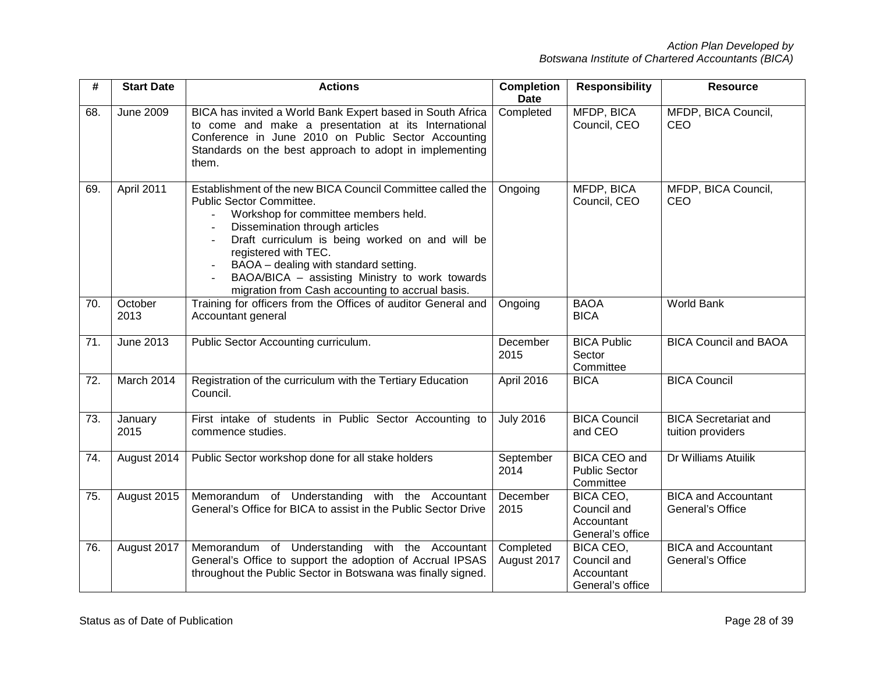| #   | <b>Start Date</b> | <b>Actions</b>                                                                                                                                                                                                                                                                                                                                                                             | <b>Completion</b><br><b>Date</b> | <b>Responsibility</b>                                      | <b>Resource</b>                                  |
|-----|-------------------|--------------------------------------------------------------------------------------------------------------------------------------------------------------------------------------------------------------------------------------------------------------------------------------------------------------------------------------------------------------------------------------------|----------------------------------|------------------------------------------------------------|--------------------------------------------------|
| 68. | <b>June 2009</b>  | BICA has invited a World Bank Expert based in South Africa<br>to come and make a presentation at its International<br>Conference in June 2010 on Public Sector Accounting<br>Standards on the best approach to adopt in implementing<br>them.                                                                                                                                              | Completed                        | MFDP, BICA<br>Council, CEO                                 | MFDP, BICA Council,<br>CEO                       |
| 69. | April 2011        | Establishment of the new BICA Council Committee called the<br>Public Sector Committee.<br>Workshop for committee members held.<br>Dissemination through articles<br>Draft curriculum is being worked on and will be<br>registered with TEC.<br>BAOA - dealing with standard setting.<br>BAOA/BICA - assisting Ministry to work towards<br>migration from Cash accounting to accrual basis. | Ongoing                          | MFDP, BICA<br>Council, CEO                                 | MFDP, BICA Council,<br>CEO                       |
| 70. | October<br>2013   | Training for officers from the Offices of auditor General and<br>Accountant general                                                                                                                                                                                                                                                                                                        | Ongoing                          | <b>BAOA</b><br><b>BICA</b>                                 | <b>World Bank</b>                                |
| 71. | June 2013         | Public Sector Accounting curriculum.                                                                                                                                                                                                                                                                                                                                                       | December<br>2015                 | <b>BICA Public</b><br>Sector<br>Committee                  | <b>BICA Council and BAOA</b>                     |
| 72. | March 2014        | Registration of the curriculum with the Tertiary Education<br>Council.                                                                                                                                                                                                                                                                                                                     | April 2016                       | <b>BICA</b>                                                | <b>BICA Council</b>                              |
| 73. | January<br>2015   | First intake of students in Public Sector Accounting to<br>commence studies.                                                                                                                                                                                                                                                                                                               | <b>July 2016</b>                 | <b>BICA Council</b><br>and CEO                             | <b>BICA Secretariat and</b><br>tuition providers |
| 74. | August 2014       | Public Sector workshop done for all stake holders                                                                                                                                                                                                                                                                                                                                          | September<br>2014                | BICA CEO and<br><b>Public Sector</b><br>Committee          | Dr Williams Atuilik                              |
| 75. | August 2015       | Memorandum of Understanding with the Accountant<br>General's Office for BICA to assist in the Public Sector Drive                                                                                                                                                                                                                                                                          | December<br>2015                 | BICA CEO,<br>Council and<br>Accountant<br>General's office | <b>BICA and Accountant</b><br>General's Office   |
| 76. | August 2017       | Memorandum of Understanding with the Accountant<br>General's Office to support the adoption of Accrual IPSAS<br>throughout the Public Sector in Botswana was finally signed.                                                                                                                                                                                                               | Completed<br>August 2017         | BICA CEO,<br>Council and<br>Accountant<br>General's office | <b>BICA and Accountant</b><br>General's Office   |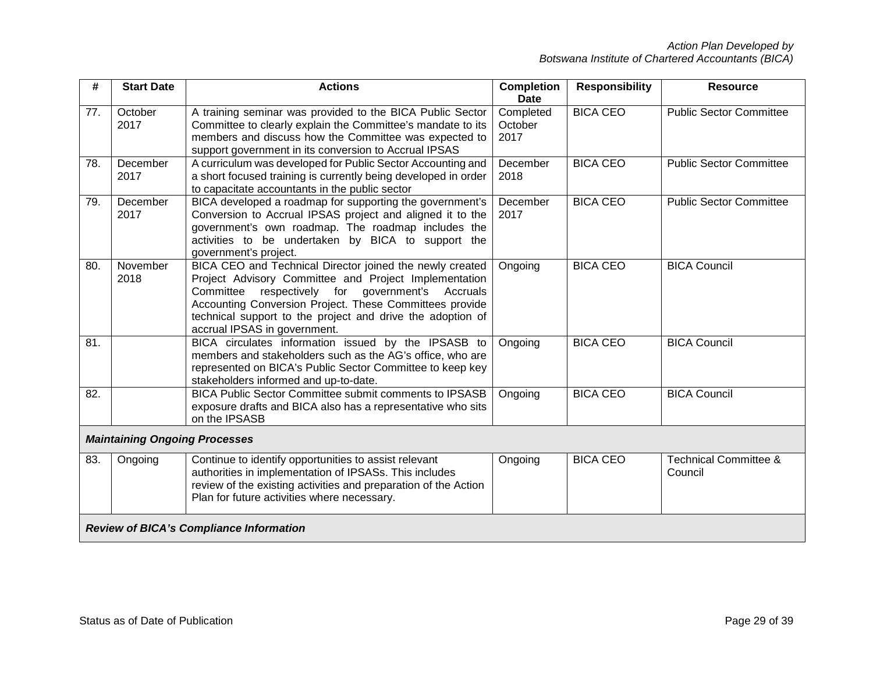| #   | <b>Start Date</b>                    | <b>Actions</b>                                                                                                                                                                                                                                                                                                                    | <b>Completion</b><br><b>Date</b> | <b>Responsibility</b> | <b>Resource</b>                             |
|-----|--------------------------------------|-----------------------------------------------------------------------------------------------------------------------------------------------------------------------------------------------------------------------------------------------------------------------------------------------------------------------------------|----------------------------------|-----------------------|---------------------------------------------|
| 77. | October<br>2017                      | A training seminar was provided to the BICA Public Sector<br>Committee to clearly explain the Committee's mandate to its<br>members and discuss how the Committee was expected to<br>support government in its conversion to Accrual IPSAS                                                                                        | Completed<br>October<br>2017     | <b>BICA CEO</b>       | <b>Public Sector Committee</b>              |
| 78. | December<br>2017                     | A curriculum was developed for Public Sector Accounting and<br>a short focused training is currently being developed in order<br>to capacitate accountants in the public sector                                                                                                                                                   | December<br>2018                 | <b>BICA CEO</b>       | <b>Public Sector Committee</b>              |
| 79. | December<br>2017                     | BICA developed a roadmap for supporting the government's<br>Conversion to Accrual IPSAS project and aligned it to the<br>government's own roadmap. The roadmap includes the<br>activities to be undertaken by BICA to support the<br>government's project.                                                                        | December<br>2017                 | <b>BICA CEO</b>       | <b>Public Sector Committee</b>              |
| 80. | November<br>2018                     | BICA CEO and Technical Director joined the newly created<br>Project Advisory Committee and Project Implementation<br>Committee<br>respectively for government's Accruals<br>Accounting Conversion Project. These Committees provide<br>technical support to the project and drive the adoption of<br>accrual IPSAS in government. | Ongoing                          | <b>BICA CEO</b>       | <b>BICA Council</b>                         |
| 81. |                                      | BICA circulates information issued by the IPSASB to<br>members and stakeholders such as the AG's office, who are<br>represented on BICA's Public Sector Committee to keep key<br>stakeholders informed and up-to-date.                                                                                                            | Ongoing                          | <b>BICA CEO</b>       | <b>BICA Council</b>                         |
| 82. |                                      | <b>BICA Public Sector Committee submit comments to IPSASB</b><br>exposure drafts and BICA also has a representative who sits<br>on the IPSASB                                                                                                                                                                                     | Ongoing                          | <b>BICA CEO</b>       | <b>BICA Council</b>                         |
|     | <b>Maintaining Ongoing Processes</b> |                                                                                                                                                                                                                                                                                                                                   |                                  |                       |                                             |
| 83. | Ongoing                              | Continue to identify opportunities to assist relevant<br>authorities in implementation of IPSASs. This includes<br>review of the existing activities and preparation of the Action<br>Plan for future activities where necessary.                                                                                                 | Ongoing                          | <b>BICA CEO</b>       | <b>Technical Committee &amp;</b><br>Council |
|     |                                      | <b>Review of BICA's Compliance Information</b>                                                                                                                                                                                                                                                                                    |                                  |                       |                                             |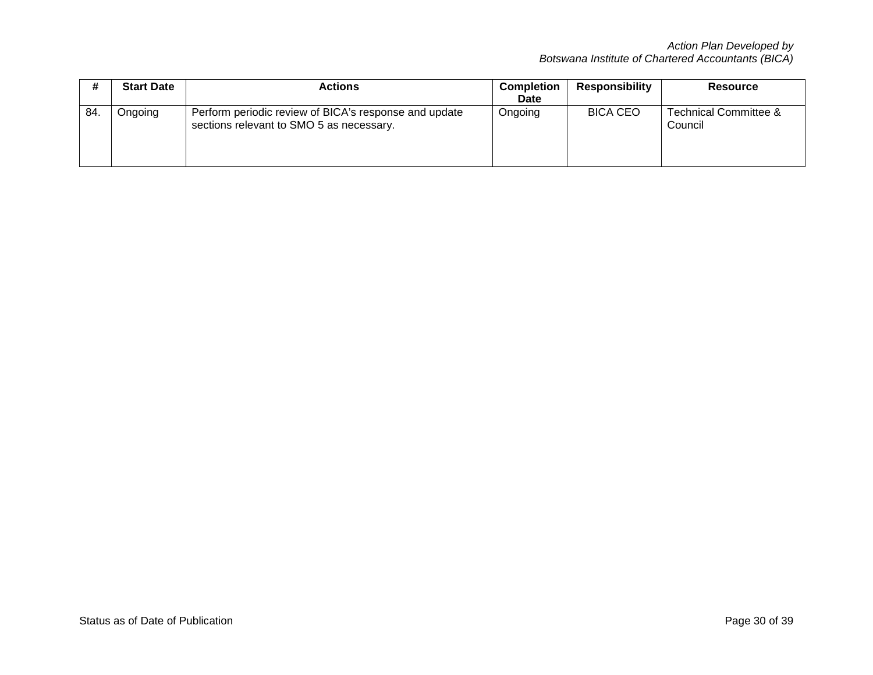|    | <b>Start Date</b> | <b>Actions</b>                                                                                    | <b>Completion</b><br>Date | <b>Responsibility</b> | <b>Resource</b>                  |
|----|-------------------|---------------------------------------------------------------------------------------------------|---------------------------|-----------------------|----------------------------------|
| 84 | Ongoing           | Perform periodic review of BICA's response and update<br>sections relevant to SMO 5 as necessary. | Ongoing                   | <b>BICA CEO</b>       | Technical Committee &<br>Council |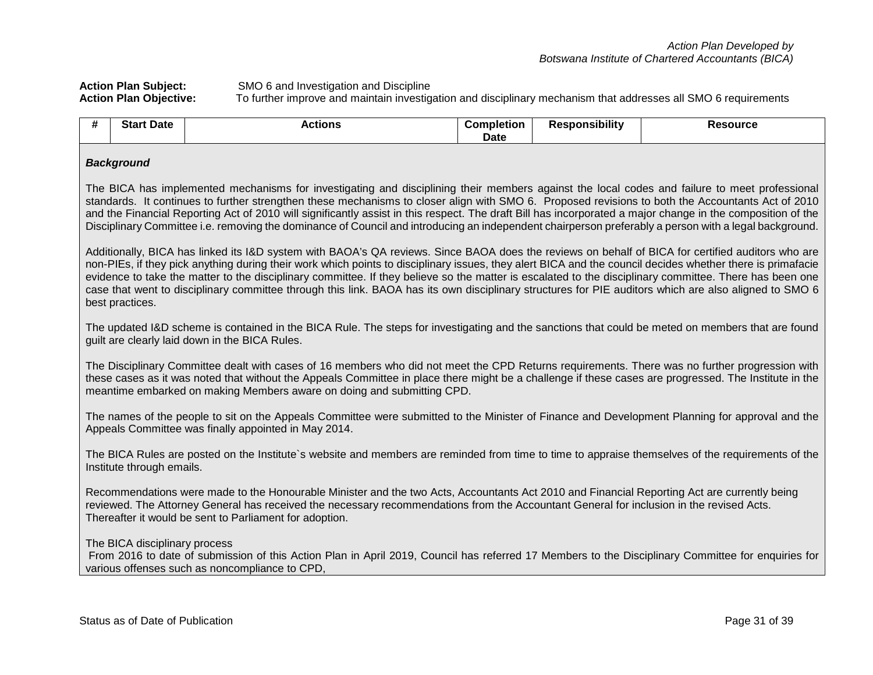# Action Plan Subject: SMO 6 and Investigation and Discipline<br>Action Plan Objective: To further improve and maintain investig

**Action Plan Objective:** To further improve and maintain investigation and disciplinary mechanism that addresses all SMO 6 requirements

| # | <b>Start Date</b>                                                                                                                                                                                                                                                                                                                                                                                                                                                                                                                                                                                                                                      | <b>Actions</b>                                                                                                                                                                                                                                                                                                                                                                     | <b>Completion</b><br><b>Date</b> | <b>Responsibility</b> | <b>Resource</b> |  |  |
|---|--------------------------------------------------------------------------------------------------------------------------------------------------------------------------------------------------------------------------------------------------------------------------------------------------------------------------------------------------------------------------------------------------------------------------------------------------------------------------------------------------------------------------------------------------------------------------------------------------------------------------------------------------------|------------------------------------------------------------------------------------------------------------------------------------------------------------------------------------------------------------------------------------------------------------------------------------------------------------------------------------------------------------------------------------|----------------------------------|-----------------------|-----------------|--|--|
|   | <b>Background</b>                                                                                                                                                                                                                                                                                                                                                                                                                                                                                                                                                                                                                                      |                                                                                                                                                                                                                                                                                                                                                                                    |                                  |                       |                 |  |  |
|   | The BICA has implemented mechanisms for investigating and disciplining their members against the local codes and failure to meet professional<br>standards. It continues to further strengthen these mechanisms to closer align with SMO 6. Proposed revisions to both the Accountants Act of 2010<br>and the Financial Reporting Act of 2010 will significantly assist in this respect. The draft Bill has incorporated a major change in the composition of the<br>Disciplinary Committee i.e. removing the dominance of Council and introducing an independent chairperson preferably a person with a legal background.                             |                                                                                                                                                                                                                                                                                                                                                                                    |                                  |                       |                 |  |  |
|   | Additionally, BICA has linked its I&D system with BAOA's QA reviews. Since BAOA does the reviews on behalf of BICA for certified auditors who are<br>non-PIEs, if they pick anything during their work which points to disciplinary issues, they alert BICA and the council decides whether there is primafacie<br>evidence to take the matter to the disciplinary committee. If they believe so the matter is escalated to the disciplinary committee. There has been one<br>case that went to disciplinary committee through this link. BAOA has its own disciplinary structures for PIE auditors which are also aligned to SMO 6<br>best practices. |                                                                                                                                                                                                                                                                                                                                                                                    |                                  |                       |                 |  |  |
|   |                                                                                                                                                                                                                                                                                                                                                                                                                                                                                                                                                                                                                                                        | The updated I&D scheme is contained in the BICA Rule. The steps for investigating and the sanctions that could be meted on members that are found<br>guilt are clearly laid down in the BICA Rules.                                                                                                                                                                                |                                  |                       |                 |  |  |
|   |                                                                                                                                                                                                                                                                                                                                                                                                                                                                                                                                                                                                                                                        | The Disciplinary Committee dealt with cases of 16 members who did not meet the CPD Returns requirements. There was no further progression with<br>these cases as it was noted that without the Appeals Committee in place there might be a challenge if these cases are progressed. The Institute in the<br>meantime embarked on making Members aware on doing and submitting CPD. |                                  |                       |                 |  |  |
|   |                                                                                                                                                                                                                                                                                                                                                                                                                                                                                                                                                                                                                                                        | The names of the people to sit on the Appeals Committee were submitted to the Minister of Finance and Development Planning for approval and the<br>Appeals Committee was finally appointed in May 2014.                                                                                                                                                                            |                                  |                       |                 |  |  |
|   | Institute through emails.                                                                                                                                                                                                                                                                                                                                                                                                                                                                                                                                                                                                                              | The BICA Rules are posted on the Institute's website and members are reminded from time to time to appraise themselves of the requirements of the                                                                                                                                                                                                                                  |                                  |                       |                 |  |  |
|   | Recommendations were made to the Honourable Minister and the two Acts, Accountants Act 2010 and Financial Reporting Act are currently being<br>reviewed. The Attorney General has received the necessary recommendations from the Accountant General for inclusion in the revised Acts.<br>Thereafter it would be sent to Parliament for adoption.                                                                                                                                                                                                                                                                                                     |                                                                                                                                                                                                                                                                                                                                                                                    |                                  |                       |                 |  |  |
|   | The BICA disciplinary process                                                                                                                                                                                                                                                                                                                                                                                                                                                                                                                                                                                                                          | From 2016 to date of submission of this Action Plan in April 2019, Council has referred 17 Members to the Disciplinary Committee for enquiries for<br>various offenses such as noncompliance to CPD,                                                                                                                                                                               |                                  |                       |                 |  |  |
|   |                                                                                                                                                                                                                                                                                                                                                                                                                                                                                                                                                                                                                                                        |                                                                                                                                                                                                                                                                                                                                                                                    |                                  |                       |                 |  |  |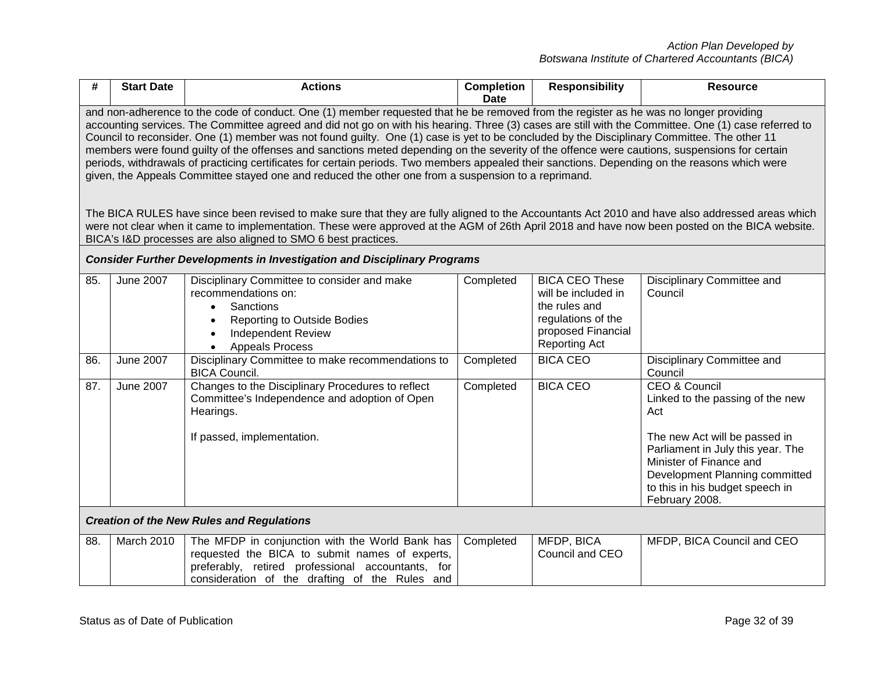| #   | <b>Start Date</b>                                                                                                                                                                                                                                                                                                                                                                                                                                                                                                                                                                                                                                                                                                                                                                                                                                                                                                                                                                                                                                                                                                                                                                                                             | <b>Actions</b>                                                                                                                                                                                           | <b>Completion</b><br>Date | <b>Responsibility</b>                                                                                                             | <b>Resource</b>                                                                                                                                                                                                                                             |  |  |
|-----|-------------------------------------------------------------------------------------------------------------------------------------------------------------------------------------------------------------------------------------------------------------------------------------------------------------------------------------------------------------------------------------------------------------------------------------------------------------------------------------------------------------------------------------------------------------------------------------------------------------------------------------------------------------------------------------------------------------------------------------------------------------------------------------------------------------------------------------------------------------------------------------------------------------------------------------------------------------------------------------------------------------------------------------------------------------------------------------------------------------------------------------------------------------------------------------------------------------------------------|----------------------------------------------------------------------------------------------------------------------------------------------------------------------------------------------------------|---------------------------|-----------------------------------------------------------------------------------------------------------------------------------|-------------------------------------------------------------------------------------------------------------------------------------------------------------------------------------------------------------------------------------------------------------|--|--|
|     | and non-adherence to the code of conduct. One (1) member requested that he be removed from the register as he was no longer providing<br>accounting services. The Committee agreed and did not go on with his hearing. Three (3) cases are still with the Committee. One (1) case referred to<br>Council to reconsider. One (1) member was not found guilty. One (1) case is yet to be concluded by the Disciplinary Committee. The other 11<br>members were found guilty of the offenses and sanctions meted depending on the severity of the offence were cautions, suspensions for certain<br>periods, withdrawals of practicing certificates for certain periods. Two members appealed their sanctions. Depending on the reasons which were<br>given, the Appeals Committee stayed one and reduced the other one from a suspension to a reprimand.<br>The BICA RULES have since been revised to make sure that they are fully aligned to the Accountants Act 2010 and have also addressed areas which<br>were not clear when it came to implementation. These were approved at the AGM of 26th April 2018 and have now been posted on the BICA website.<br>BICA's I&D processes are also aligned to SMO 6 best practices. |                                                                                                                                                                                                          |                           |                                                                                                                                   |                                                                                                                                                                                                                                                             |  |  |
|     |                                                                                                                                                                                                                                                                                                                                                                                                                                                                                                                                                                                                                                                                                                                                                                                                                                                                                                                                                                                                                                                                                                                                                                                                                               | <b>Consider Further Developments in Investigation and Disciplinary Programs</b>                                                                                                                          |                           |                                                                                                                                   |                                                                                                                                                                                                                                                             |  |  |
| 85. | <b>June 2007</b>                                                                                                                                                                                                                                                                                                                                                                                                                                                                                                                                                                                                                                                                                                                                                                                                                                                                                                                                                                                                                                                                                                                                                                                                              | Disciplinary Committee to consider and make<br>recommendations on:<br>Sanctions<br><b>Reporting to Outside Bodies</b><br>$\bullet$<br><b>Independent Review</b><br><b>Appeals Process</b>                | Completed                 | <b>BICA CEO These</b><br>will be included in<br>the rules and<br>regulations of the<br>proposed Financial<br><b>Reporting Act</b> | Disciplinary Committee and<br>Council                                                                                                                                                                                                                       |  |  |
| 86. | <b>June 2007</b>                                                                                                                                                                                                                                                                                                                                                                                                                                                                                                                                                                                                                                                                                                                                                                                                                                                                                                                                                                                                                                                                                                                                                                                                              | Disciplinary Committee to make recommendations to<br><b>BICA Council.</b>                                                                                                                                | Completed                 | <b>BICA CEO</b>                                                                                                                   | Disciplinary Committee and<br>Council                                                                                                                                                                                                                       |  |  |
| 87. | <b>June 2007</b>                                                                                                                                                                                                                                                                                                                                                                                                                                                                                                                                                                                                                                                                                                                                                                                                                                                                                                                                                                                                                                                                                                                                                                                                              | Changes to the Disciplinary Procedures to reflect<br>Committee's Independence and adoption of Open<br>Hearings.<br>If passed, implementation.                                                            | Completed                 | <b>BICA CEO</b>                                                                                                                   | <b>CEO &amp; Council</b><br>Linked to the passing of the new<br>Act<br>The new Act will be passed in<br>Parliament in July this year. The<br>Minister of Finance and<br>Development Planning committed<br>to this in his budget speech in<br>February 2008. |  |  |
|     |                                                                                                                                                                                                                                                                                                                                                                                                                                                                                                                                                                                                                                                                                                                                                                                                                                                                                                                                                                                                                                                                                                                                                                                                                               | <b>Creation of the New Rules and Regulations</b>                                                                                                                                                         |                           |                                                                                                                                   |                                                                                                                                                                                                                                                             |  |  |
| 88. | March 2010                                                                                                                                                                                                                                                                                                                                                                                                                                                                                                                                                                                                                                                                                                                                                                                                                                                                                                                                                                                                                                                                                                                                                                                                                    | The MFDP in conjunction with the World Bank has<br>requested the BICA to submit names of experts,<br>preferably, retired professional accountants, for<br>consideration of the drafting of the Rules and | Completed                 | MFDP, BICA<br>Council and CEO                                                                                                     | MFDP, BICA Council and CEO                                                                                                                                                                                                                                  |  |  |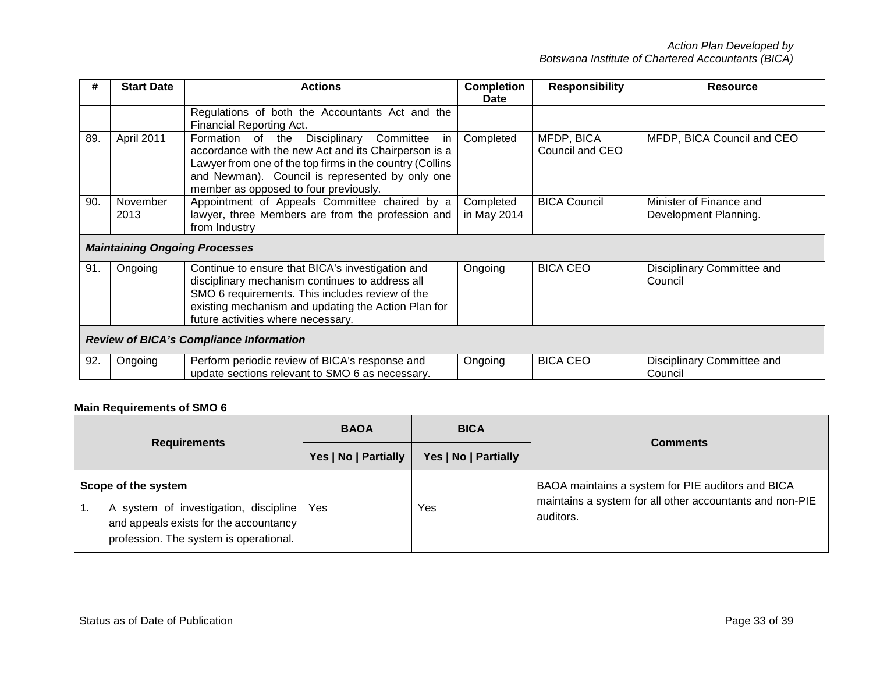| #   | <b>Start Date</b>                    | <b>Actions</b>                                                                                                                                                                                                                                                      | <b>Completion</b><br>Date | <b>Responsibility</b>         | <b>Resource</b>                                  |
|-----|--------------------------------------|---------------------------------------------------------------------------------------------------------------------------------------------------------------------------------------------------------------------------------------------------------------------|---------------------------|-------------------------------|--------------------------------------------------|
|     |                                      | Regulations of both the Accountants Act and the<br>Financial Reporting Act.                                                                                                                                                                                         |                           |                               |                                                  |
| 89. | April 2011                           | Disciplinary<br>Committee<br>Formation of the<br>in<br>accordance with the new Act and its Chairperson is a<br>Lawyer from one of the top firms in the country (Collins<br>and Newman). Council is represented by only one<br>member as opposed to four previously. | Completed                 | MFDP, BICA<br>Council and CEO | MFDP, BICA Council and CEO                       |
| 90. | November<br>2013                     | Appointment of Appeals Committee chaired by a<br>lawyer, three Members are from the profession and<br>from Industry                                                                                                                                                 | Completed<br>in May 2014  | <b>BICA Council</b>           | Minister of Finance and<br>Development Planning. |
|     | <b>Maintaining Ongoing Processes</b> |                                                                                                                                                                                                                                                                     |                           |                               |                                                  |
| 91. | Ongoing                              | Continue to ensure that BICA's investigation and<br>disciplinary mechanism continues to address all<br>SMO 6 requirements. This includes review of the<br>existing mechanism and updating the Action Plan for<br>future activities where necessary.                 | Ongoing                   | <b>BICA CEO</b>               | Disciplinary Committee and<br>Council            |
|     |                                      | <b>Review of BICA's Compliance Information</b>                                                                                                                                                                                                                      |                           |                               |                                                  |
| 92. | Ongoing                              | Perform periodic review of BICA's response and<br>update sections relevant to SMO 6 as necessary.                                                                                                                                                                   | Ongoing                   | <b>BICA CEO</b>               | Disciplinary Committee and<br>Council            |

# **Main Requirements of SMO 6**

|                                                                                                                                                  | <b>BAOA</b>          | <b>BICA</b>          | <b>Comments</b>                                                                                                            |
|--------------------------------------------------------------------------------------------------------------------------------------------------|----------------------|----------------------|----------------------------------------------------------------------------------------------------------------------------|
| <b>Requirements</b>                                                                                                                              | Yes   No   Partially | Yes   No   Partially |                                                                                                                            |
| Scope of the system<br>A system of investigation, discipline<br>and appeals exists for the accountancy<br>profession. The system is operational. | Yes                  | Yes                  | BAOA maintains a system for PIE auditors and BICA<br>maintains a system for all other accountants and non-PIE<br>auditors. |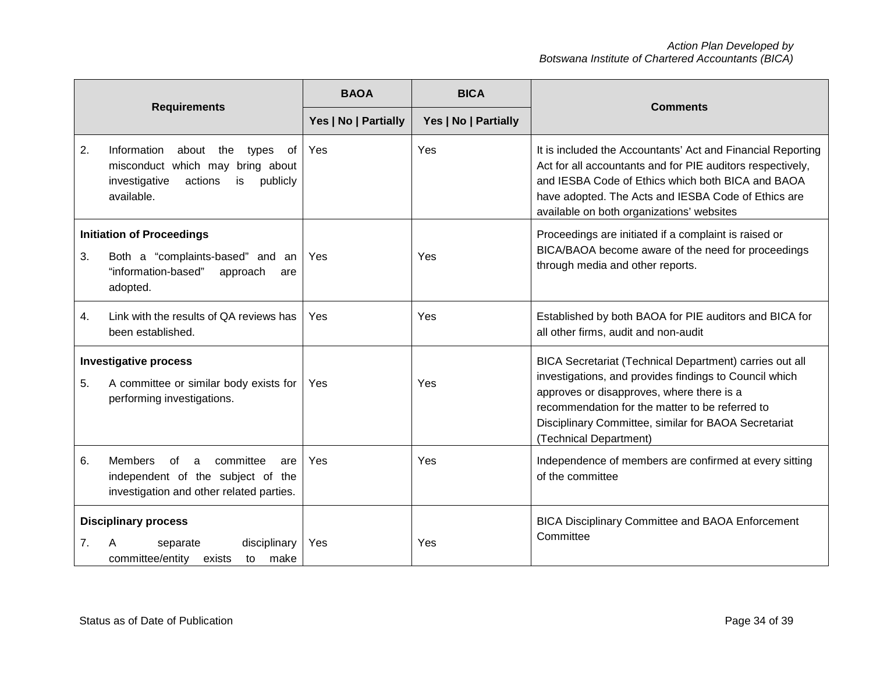| <b>Requirements</b>                                                                                                   |                                                                                                                                         | <b>BAOA</b>          | <b>BICA</b>          |                                                                                                                                                                                                                                                                                                     |
|-----------------------------------------------------------------------------------------------------------------------|-----------------------------------------------------------------------------------------------------------------------------------------|----------------------|----------------------|-----------------------------------------------------------------------------------------------------------------------------------------------------------------------------------------------------------------------------------------------------------------------------------------------------|
|                                                                                                                       |                                                                                                                                         | Yes   No   Partially | Yes   No   Partially | <b>Comments</b>                                                                                                                                                                                                                                                                                     |
| 2.                                                                                                                    | Information<br>about the<br>types<br>0f<br>misconduct which may bring about<br>publicly<br>investigative<br>actions<br>is<br>available. | Yes                  | Yes                  | It is included the Accountants' Act and Financial Reporting<br>Act for all accountants and for PIE auditors respectively,<br>and IESBA Code of Ethics which both BICA and BAOA<br>have adopted. The Acts and IESBA Code of Ethics are<br>available on both organizations' websites                  |
| 3.                                                                                                                    | <b>Initiation of Proceedings</b><br>Both a "complaints-based" and an<br>"information-based"<br>approach<br>are<br>adopted.              | Yes                  | Yes                  | Proceedings are initiated if a complaint is raised or<br>BICA/BAOA become aware of the need for proceedings<br>through media and other reports.                                                                                                                                                     |
| 4.                                                                                                                    | Link with the results of QA reviews has<br>been established.                                                                            | Yes                  | Yes                  | Established by both BAOA for PIE auditors and BICA for<br>all other firms, audit and non-audit                                                                                                                                                                                                      |
| <b>Investigative process</b><br>5.<br>A committee or similar body exists for<br>performing investigations.            |                                                                                                                                         | Yes                  | Yes                  | BICA Secretariat (Technical Department) carries out all<br>investigations, and provides findings to Council which<br>approves or disapproves, where there is a<br>recommendation for the matter to be referred to<br>Disciplinary Committee, similar for BAOA Secretariat<br>(Technical Department) |
| 6.                                                                                                                    | <b>Members</b><br>committee<br>of<br>a<br>are<br>independent of the subject of the<br>investigation and other related parties.          | Yes                  | Yes                  | Independence of members are confirmed at every sitting<br>of the committee                                                                                                                                                                                                                          |
| <b>Disciplinary process</b><br>disciplinary<br>7 <sub>1</sub><br>separate<br>committee/entity<br>make<br>exists<br>to |                                                                                                                                         | Yes                  | Yes                  | <b>BICA Disciplinary Committee and BAOA Enforcement</b><br>Committee                                                                                                                                                                                                                                |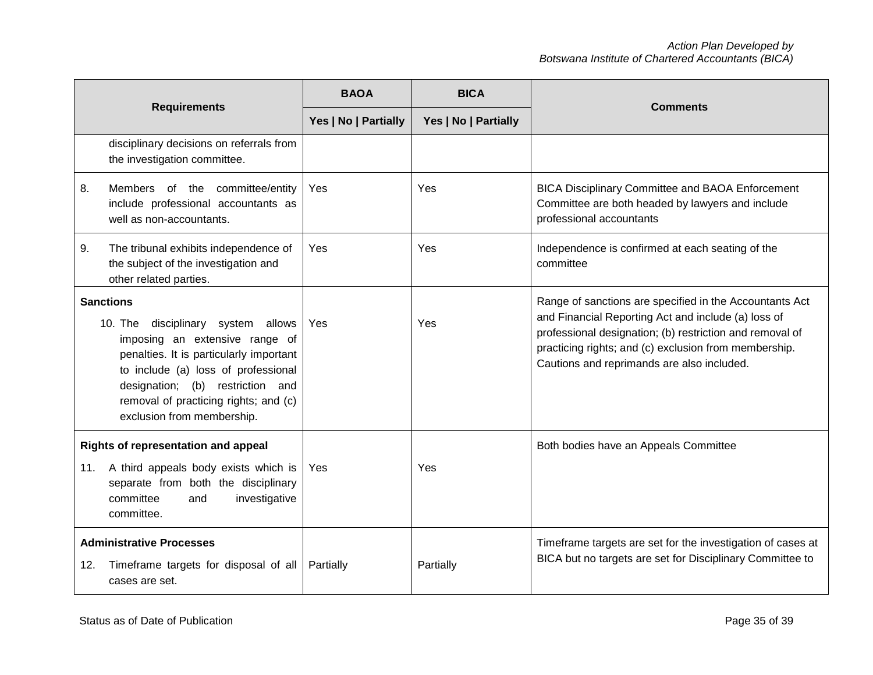| <b>Requirements</b>                                                                               |                                                                                                                                                                                                                                                                                          | <b>BAOA</b>          | <b>BICA</b>          | <b>Comments</b>                                                                                                                                                                                                                                                                   |
|---------------------------------------------------------------------------------------------------|------------------------------------------------------------------------------------------------------------------------------------------------------------------------------------------------------------------------------------------------------------------------------------------|----------------------|----------------------|-----------------------------------------------------------------------------------------------------------------------------------------------------------------------------------------------------------------------------------------------------------------------------------|
|                                                                                                   |                                                                                                                                                                                                                                                                                          | Yes   No   Partially | Yes   No   Partially |                                                                                                                                                                                                                                                                                   |
|                                                                                                   | disciplinary decisions on referrals from<br>the investigation committee.                                                                                                                                                                                                                 |                      |                      |                                                                                                                                                                                                                                                                                   |
| 8.                                                                                                | committee/entity<br>Members of the<br>include professional accountants as<br>well as non-accountants.                                                                                                                                                                                    | Yes                  | Yes                  | <b>BICA Disciplinary Committee and BAOA Enforcement</b><br>Committee are both headed by lawyers and include<br>professional accountants                                                                                                                                           |
| 9.                                                                                                | The tribunal exhibits independence of<br>the subject of the investigation and<br>other related parties.                                                                                                                                                                                  | Yes                  | Yes                  | Independence is confirmed at each seating of the<br>committee                                                                                                                                                                                                                     |
|                                                                                                   | <b>Sanctions</b><br>disciplinary system allows<br>10. The<br>imposing an extensive range of<br>penalties. It is particularly important<br>to include (a) loss of professional<br>designation; (b) restriction and<br>removal of practicing rights; and (c)<br>exclusion from membership. | Yes                  | Yes                  | Range of sanctions are specified in the Accountants Act<br>and Financial Reporting Act and include (a) loss of<br>professional designation; (b) restriction and removal of<br>practicing rights; and (c) exclusion from membership.<br>Cautions and reprimands are also included. |
| 11.                                                                                               | Rights of representation and appeal<br>A third appeals body exists which is<br>separate from both the disciplinary<br>committee<br>investigative<br>and<br>committee.                                                                                                                    | Yes                  | Yes                  | Both bodies have an Appeals Committee                                                                                                                                                                                                                                             |
| <b>Administrative Processes</b><br>Timeframe targets for disposal of all<br>12.<br>cases are set. |                                                                                                                                                                                                                                                                                          | Partially            | Partially            | Timeframe targets are set for the investigation of cases at<br>BICA but no targets are set for Disciplinary Committee to                                                                                                                                                          |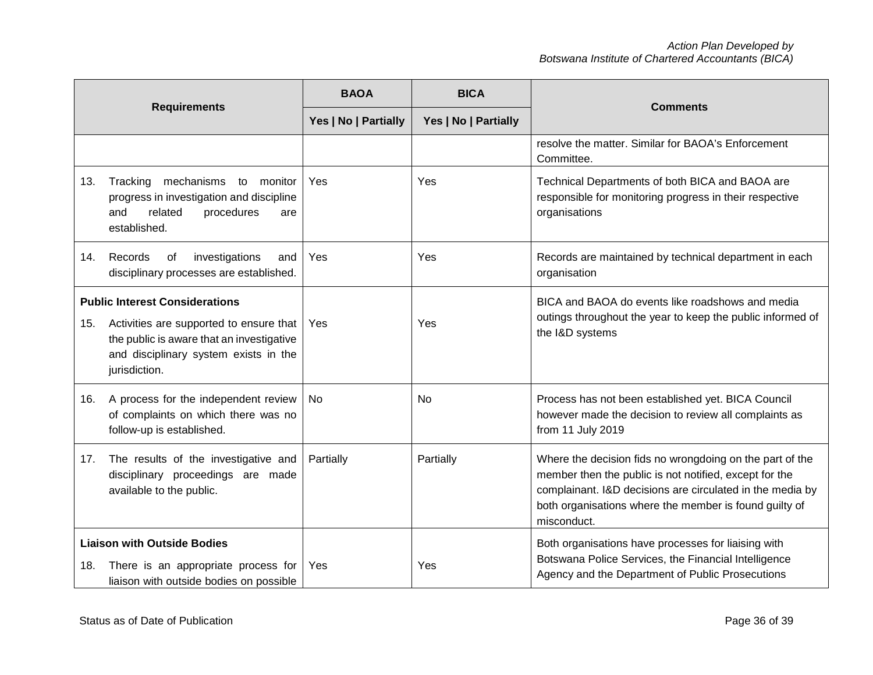| <b>Requirements</b>                                                                                                         |                                                                                                                                                                                         | <b>BAOA</b>          | <b>BICA</b>          |                                                                                                                                                                                                                                                          |  |
|-----------------------------------------------------------------------------------------------------------------------------|-----------------------------------------------------------------------------------------------------------------------------------------------------------------------------------------|----------------------|----------------------|----------------------------------------------------------------------------------------------------------------------------------------------------------------------------------------------------------------------------------------------------------|--|
|                                                                                                                             |                                                                                                                                                                                         | Yes   No   Partially | Yes   No   Partially | <b>Comments</b>                                                                                                                                                                                                                                          |  |
|                                                                                                                             |                                                                                                                                                                                         |                      |                      | resolve the matter. Similar for BAOA's Enforcement<br>Committee.                                                                                                                                                                                         |  |
| 13.                                                                                                                         | Tracking<br>mechanisms to monitor<br>progress in investigation and discipline<br>related<br>procedures<br>and<br>are<br>established.                                                    | Yes                  | Yes                  | Technical Departments of both BICA and BAOA are<br>responsible for monitoring progress in their respective<br>organisations                                                                                                                              |  |
| 14.                                                                                                                         | Records<br>of<br>investigations<br>and<br>disciplinary processes are established.                                                                                                       | Yes                  | Yes                  | Records are maintained by technical department in each<br>organisation                                                                                                                                                                                   |  |
| 15.                                                                                                                         | <b>Public Interest Considerations</b><br>Activities are supported to ensure that<br>the public is aware that an investigative<br>and disciplinary system exists in the<br>jurisdiction. | Yes                  | Yes                  | BICA and BAOA do events like roadshows and media<br>outings throughout the year to keep the public informed of<br>the I&D systems                                                                                                                        |  |
| 16.                                                                                                                         | A process for the independent review<br>of complaints on which there was no<br>follow-up is established.                                                                                | <b>No</b>            | No                   | Process has not been established yet. BICA Council<br>however made the decision to review all complaints as<br>from 11 July 2019                                                                                                                         |  |
| 17.                                                                                                                         | The results of the investigative and<br>disciplinary proceedings are made<br>available to the public.                                                                                   | Partially            | Partially            | Where the decision fids no wrongdoing on the part of the<br>member then the public is not notified, except for the<br>complainant. I&D decisions are circulated in the media by<br>both organisations where the member is found guilty of<br>misconduct. |  |
| <b>Liaison with Outside Bodies</b><br>There is an appropriate process for<br>18.<br>liaison with outside bodies on possible |                                                                                                                                                                                         | Yes                  | Yes                  | Both organisations have processes for liaising with<br>Botswana Police Services, the Financial Intelligence<br>Agency and the Department of Public Prosecutions                                                                                          |  |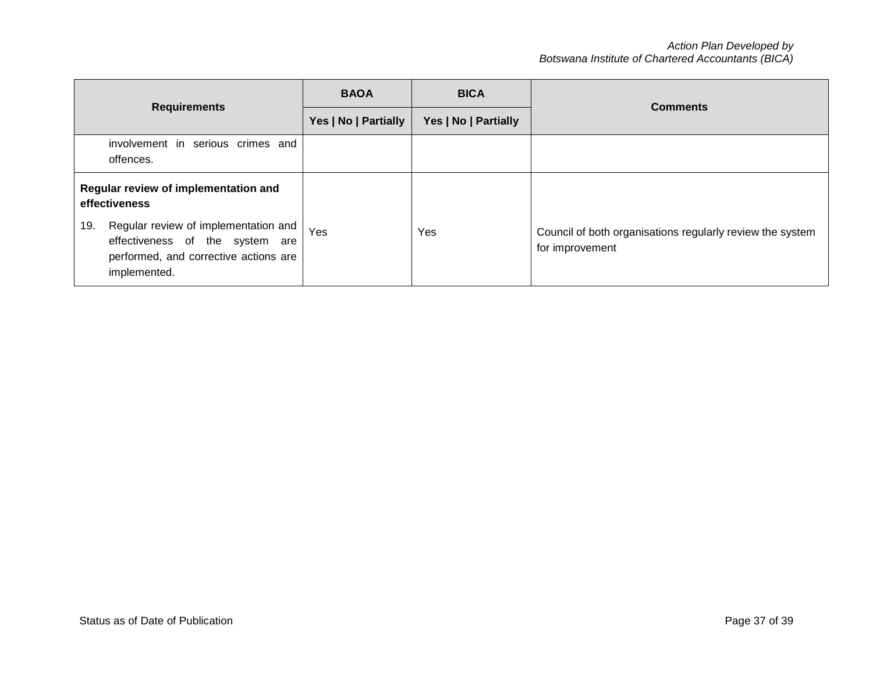|                                                                                                      | <b>BAOA</b>          | <b>BICA</b>          | <b>Comments</b>                                           |  |
|------------------------------------------------------------------------------------------------------|----------------------|----------------------|-----------------------------------------------------------|--|
| <b>Requirements</b>                                                                                  | Yes   No   Partially | Yes   No   Partially |                                                           |  |
| involvement in serious crimes and<br>offences.                                                       |                      |                      |                                                           |  |
| Regular review of implementation and<br>effectiveness<br>Regular review of implementation and<br>19. | Yes                  | Yes                  | Council of both organisations regularly review the system |  |
| effectiveness of the system are<br>performed, and corrective actions are<br>implemented.             |                      |                      | for improvement                                           |  |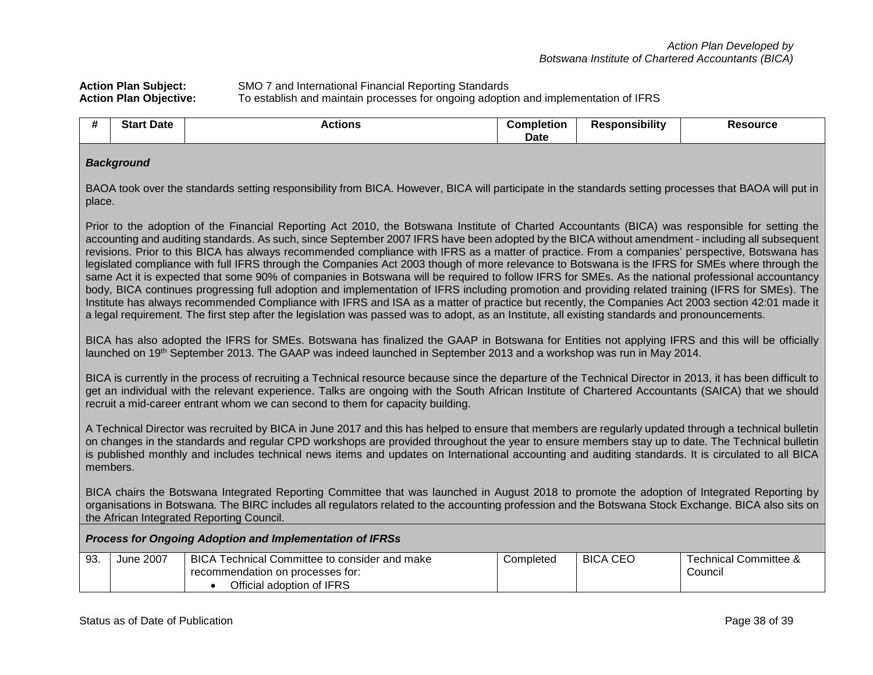## Action Plan Subject: SMO 7 and International Financial Reporting Standards<br> **Action Plan Objective:** To establish and maintain processes for ongoing adoptic **Action Plan Objective:** To establish and maintain processes for ongoing adoption and implementation of IFRS

| <br><b>Start</b><br>t Date | Actions | Completion | <b>Responsibility</b> | <b>Resource</b> |
|----------------------------|---------|------------|-----------------------|-----------------|
|                            |         | Date       |                       |                 |

#### *Background*

BAOA took over the standards setting responsibility from BICA. However, BICA will participate in the standards setting processes that BAOA will put in place.

Prior to the adoption of the Financial Reporting Act 2010, the Botswana Institute of Charted Accountants (BICA) was responsible for setting the accounting and auditing standards. As such, since September 2007 IFRS have been adopted by the BICA without amendment - including all subsequent revisions. Prior to this BICA has always recommended compliance with IFRS as a matter of practice. From a companies' perspective, Botswana has legislated compliance with full IFRS through the Companies Act 2003 though of more relevance to Botswana is the IFRS for SMEs where through the same Act it is expected that some 90% of companies in Botswana will be required to follow IFRS for SMEs. As the national professional accountancy body, BICA continues progressing full adoption and implementation of IFRS including promotion and providing related training (IFRS for SMEs). The Institute has always recommended Compliance with IFRS and ISA as a matter of practice but recently, the Companies Act 2003 section 42:01 made it a legal requirement. The first step after the legislation was passed was to adopt, as an Institute, all existing standards and pronouncements.

BICA has also adopted the IFRS for SMEs. Botswana has finalized the GAAP in Botswana for Entities not applying IFRS and this will be officially launched on 19<sup>th</sup> September 2013. The GAAP was indeed launched in September 2013 and a workshop was run in May 2014.

BICA is currently in the process of recruiting a Technical resource because since the departure of the Technical Director in 2013, it has been difficult to get an individual with the relevant experience. Talks are ongoing with the South African Institute of Chartered Accountants (SAICA) that we should recruit a mid-career entrant whom we can second to them for capacity building.

A Technical Director was recruited by BICA in June 2017 and this has helped to ensure that members are regularly updated through a technical bulletin on changes in the standards and regular CPD workshops are provided throughout the year to ensure members stay up to date. The Technical bulletin is published monthly and includes technical news items and updates on International accounting and auditing standards. It is circulated to all BICA members.

BICA chairs the Botswana Integrated Reporting Committee that was launched in August 2018 to promote the adoption of Integrated Reporting by organisations in Botswana. The BIRC includes all regulators related to the accounting profession and the Botswana Stock Exchange. BICA also sits on the African Integrated Reporting Council.

#### *Process for Ongoing Adoption and Implementation of IFRSs*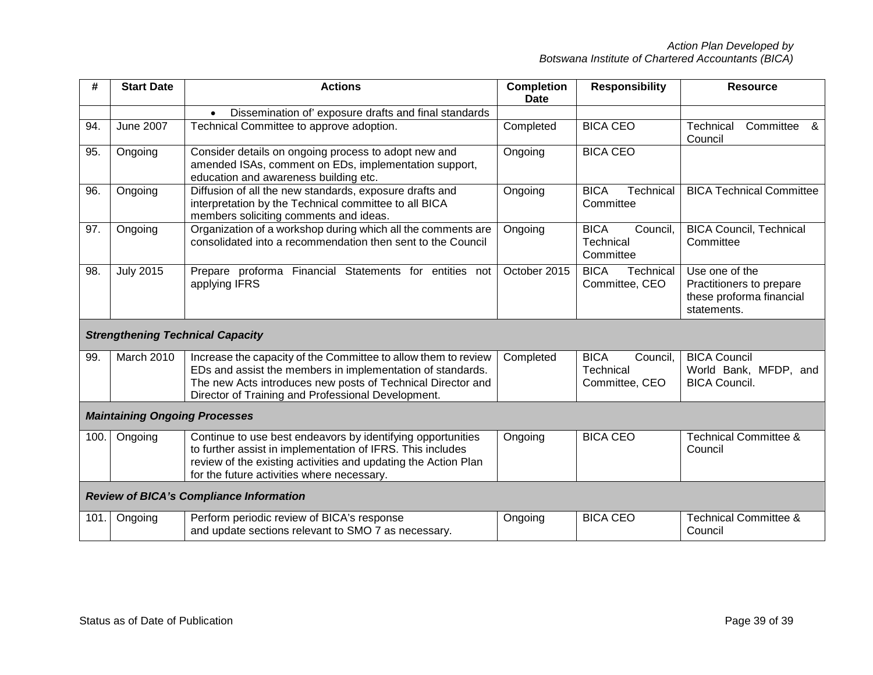| #                                              | <b>Start Date</b> | <b>Actions</b>                                                                                                                                                                                                                                    | <b>Completion</b><br><b>Date</b> | <b>Responsibility</b>                                  | <b>Resource</b>                                                                       |  |  |
|------------------------------------------------|-------------------|---------------------------------------------------------------------------------------------------------------------------------------------------------------------------------------------------------------------------------------------------|----------------------------------|--------------------------------------------------------|---------------------------------------------------------------------------------------|--|--|
|                                                |                   | Dissemination of' exposure drafts and final standards<br>$\bullet$                                                                                                                                                                                |                                  |                                                        |                                                                                       |  |  |
| 94.                                            | <b>June 2007</b>  | Technical Committee to approve adoption.                                                                                                                                                                                                          | Completed                        | <b>BICA CEO</b>                                        | Technical<br>Committee<br>୍ୟ<br>Council                                               |  |  |
| 95.                                            | Ongoing           | Consider details on ongoing process to adopt new and<br>amended ISAs, comment on EDs, implementation support,<br>education and awareness building etc.                                                                                            | Ongoing                          | <b>BICA CEO</b>                                        |                                                                                       |  |  |
| 96.                                            | Ongoing           | Diffusion of all the new standards, exposure drafts and<br>interpretation by the Technical committee to all BICA<br>members soliciting comments and ideas.                                                                                        | Ongoing                          | <b>BICA</b><br>Technical<br>Committee                  | <b>BICA Technical Committee</b>                                                       |  |  |
| 97.                                            | Ongoing           | Organization of a workshop during which all the comments are<br>consolidated into a recommendation then sent to the Council                                                                                                                       | Ongoing                          | <b>BICA</b><br>Council,<br>Technical<br>Committee      | <b>BICA Council, Technical</b><br>Committee                                           |  |  |
| 98.                                            | <b>July 2015</b>  | Prepare proforma Financial Statements for entities not<br>applying IFRS                                                                                                                                                                           | October 2015                     | <b>BICA</b><br>Technical<br>Committee, CEO             | Use one of the<br>Practitioners to prepare<br>these proforma financial<br>statements. |  |  |
|                                                |                   | <b>Strengthening Technical Capacity</b>                                                                                                                                                                                                           |                                  |                                                        |                                                                                       |  |  |
| 99.                                            | March 2010        | Increase the capacity of the Committee to allow them to review<br>EDs and assist the members in implementation of standards.<br>The new Acts introduces new posts of Technical Director and<br>Director of Training and Professional Development. | Completed                        | <b>BICA</b><br>Council,<br>Technical<br>Committee, CEO | <b>BICA Council</b><br>World Bank, MFDP, and<br><b>BICA Council.</b>                  |  |  |
| <b>Maintaining Ongoing Processes</b>           |                   |                                                                                                                                                                                                                                                   |                                  |                                                        |                                                                                       |  |  |
| 100.                                           | Ongoing           | Continue to use best endeavors by identifying opportunities<br>to further assist in implementation of IFRS. This includes<br>review of the existing activities and updating the Action Plan<br>for the future activities where necessary.         | Ongoing                          | <b>BICA CEO</b>                                        | <b>Technical Committee &amp;</b><br>Council                                           |  |  |
| <b>Review of BICA's Compliance Information</b> |                   |                                                                                                                                                                                                                                                   |                                  |                                                        |                                                                                       |  |  |
| 101.                                           | Ongoing           | Perform periodic review of BICA's response<br>and update sections relevant to SMO 7 as necessary.                                                                                                                                                 | Ongoing                          | <b>BICA CEO</b>                                        | <b>Technical Committee &amp;</b><br>Council                                           |  |  |